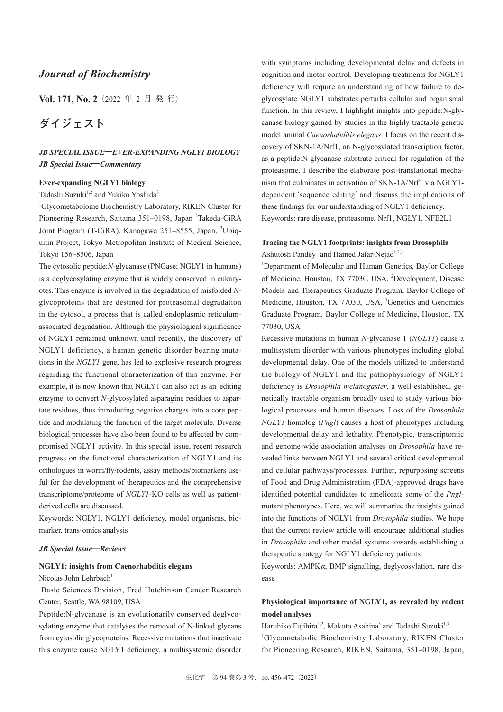# *Journal of Biochemistry*

**Vol. 171, No. 2**(2022 年 2 月 発 行)

# **ダイジェスト**

# *JB SPECIAL ISSUE***―***EVER-EXPANDING NGLY1 BIOLOGY JB Special Issue***―***Commentary*

#### **Ever-expanding NGLY1 biology**

Tadashi Suzuki<sup>1,2</sup> and Yukiko Yoshida<sup>3</sup>

1 Glycometabolome Biochemistry Laboratory, RIKEN Cluster for Pioneering Research, Saitama 351-0198, Japan <sup>2</sup>Takeda-CiRA Joint Program (T-CiRA), Kanagawa 251-8555, Japan, <sup>3</sup>Ubiquitin Project, Tokyo Metropolitan Institute of Medical Science, Tokyo 156‒8506, Japan

The cytosolic peptide:*N*-glycanase (PNGase; NGLY1 in humans) is a deglycosylating enzyme that is widely conserved in eukaryotes. This enzyme is involved in the degradation of misfolded *N*glycoproteins that are destined for proteasomal degradation in the cytosol, a process that is called endoplasmic reticulumassociated degradation. Although the physiological significance of NGLY1 remained unknown until recently, the discovery of NGLY1 deficiency, a human genetic disorder bearing mutations in the *NGLY1* gene, has led to explosive research progress regarding the functional characterization of this enzyme. For example, it is now known that NGLY1 can also act as an ʻediting enzyme' to convert *N*-glycosylated asparagine residues to aspartate residues, thus introducing negative charges into a core peptide and modulating the function of the target molecule. Diverse biological processes have also been found to be affected by compromised NGLY1 activity. In this special issue, recent research progress on the functional characterization of NGLY1 and its orthologues in worm/fly/rodents, assay methods/biomarkers useful for the development of therapeutics and the comprehensive transcriptome/proteome of *NGLY1*-KO cells as well as patientderived cells are discussed.

Keywords: NGLY1, NGLY1 deficiency, model organisms, biomarker, trans-omics analysis

#### *JB Special Issue***―***Reviews*

#### **NGLY1: insights from Caenorhabditis elegans**

Nicolas John Lehrbach<sup>1</sup>

<sup>1</sup>Basic Sciences Division, Fred Hutchinson Cancer Research Center, Seattle, WA 98109, USA

Peptide:N-glycanase is an evolutionarily conserved deglycosylating enzyme that catalyses the removal of N-linked glycans from cytosolic glycoproteins. Recessive mutations that inactivate this enzyme cause NGLY1 deficiency, a multisystemic disorder with symptoms including developmental delay and defects in cognition and motor control. Developing treatments for NGLY1 deficiency will require an understanding of how failure to deglycosylate NGLY1 substrates perturbs cellular and organismal function. In this review, I highlight insights into peptide:N-glycanase biology gained by studies in the highly tractable genetic model animal *Caenorhabditis elegans*. I focus on the recent discovery of SKN-1A/Nrf1, an N-glycosylated transcription factor, as a peptide:N-glycanase substrate critical for regulation of the proteasome. I describe the elaborate post-translational mechanism that culminates in activation of SKN-1A/Nrf1 via NGLY1 dependent ʻsequence editing' and discuss the implications of these findings for our understanding of NGLY1 deficiency. Keywords: rare disease, proteasome, Nrf1, NGLY1, NFE2L1

### **Tracing the NGLY1 footprints: insights from Drosophila** Ashutosh Pandey<sup>1</sup> and Hamed Jafar-Nejad<sup>1,2,3</sup>

<sup>1</sup>Department of Molecular and Human Genetics, Baylor College of Medicine, Houston, TX 77030, USA, <sup>2</sup>Development, Disease Models and Therapeutics Graduate Program, Baylor College of Medicine, Houston, TX 77030, USA, <sup>3</sup>Genetics and Genomics Graduate Program, Baylor College of Medicine, Houston, TX 77030, USA

Recessive mutations in human *N*-glycanase 1 (*NGLY1*) cause a multisystem disorder with various phenotypes including global developmental delay. One of the models utilized to understand the biology of NGLY1 and the pathophysiology of NGLY1 deficiency is *Drosophila melanogaster*, a well-established, genetically tractable organism broadly used to study various biological processes and human diseases. Loss of the *Drosophila NGLY1* homolog (*Pngl*) causes a host of phenotypes including developmental delay and lethality. Phenotypic, transcriptomic and genome-wide association analyses on *Drosophila* have revealed links between NGLY1 and several critical developmental and cellular pathways/processes. Further, repurposing screens of Food and Drug Administration (FDA)-approved drugs have identified potential candidates to ameliorate some of the *Pngl*mutant phenotypes. Here, we will summarize the insights gained into the functions of NGLY1 from *Drosophila* studies. We hope that the current review article will encourage additional studies in *Drosophila* and other model systems towards establishing a therapeutic strategy for NGLY1 deficiency patients.

Keywords: AMPK*α*, BMP signalling, deglycosylation, rare disease

# **Physiological importance of NGLY1, as revealed by rodent model analyses**

Haruhiko Fujihira<sup>1,2</sup>, Makoto Asahina<sup>3</sup> and Tadashi Suzuki<sup>1,3</sup> 1 Glycometabolic Biochemistry Laboratory, RIKEN Cluster for Pioneering Research, RIKEN, Saitama, 351-0198, Japan,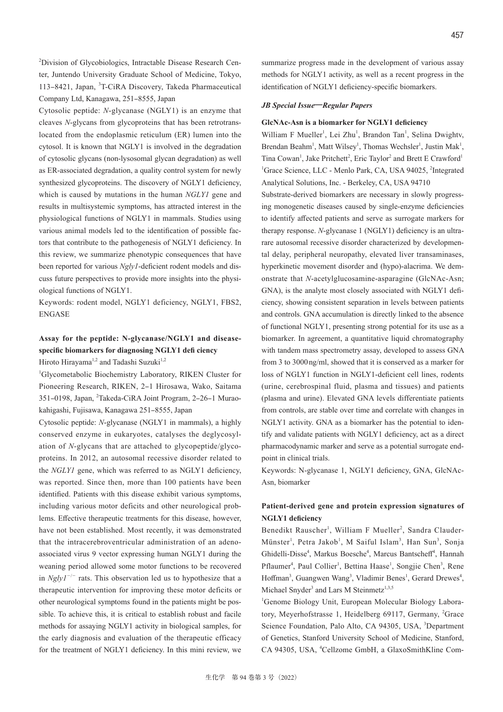<sup>2</sup>Division of Glycobiologics, Intractable Disease Research Center, Juntendo University Graduate School of Medicine, Tokyo, 113-8421, Japan, <sup>3</sup>T-CiRA Discovery, Takeda Pharmaceutical Company Ltd, Kanagawa, 251-8555, Japan

Cytosolic peptide: *N*-glycanase (NGLY1) is an enzyme that cleaves *N*-glycans from glycoproteins that has been retrotranslocated from the endoplasmic reticulum (ER) lumen into the cytosol. It is known that NGLY1 is involved in the degradation of cytosolic glycans (non-lysosomal glycan degradation) as well as ER-associated degradation, a quality control system for newly synthesized glycoproteins. The discovery of NGLY1 deficiency, which is caused by mutations in the human *NGLY1* gene and results in multisystemic symptoms, has attracted interest in the physiological functions of NGLY1 in mammals. Studies using various animal models led to the identification of possible factors that contribute to the pathogenesis of NGLY1 deficiency. In this review, we summarize phenotypic consequences that have been reported for various *Ngly1*-deficient rodent models and discuss future perspectives to provide more insights into the physiological functions of NGLY1.

Keywords: rodent model, NGLY1 deficiency, NGLY1, FBS2, ENGASE

# **Assay for the peptide: N-glycanase/NGLY1 and diseasespecific biomarkers for diagnosing NGLY1 defi ciency** Hiroto Hirayama<sup>1,2</sup> and Tadashi Suzuki<sup>1,2</sup>

1 Glycometabolic Biochemistry Laboratory, RIKEN Cluster for Pioneering Research, RIKEN, 2-1 Hirosawa, Wako, Saitama 351-0198, Japan, <sup>2</sup>Takeda-CiRA Joint Program, 2-26-1 Muraokahigashi, Fujisawa, Kanagawa 251-8555, Japan

Cytosolic peptide: *N*-glycanase (NGLY1 in mammals), a highly conserved enzyme in eukaryotes, catalyses the deglycosylation of *N*-glycans that are attached to glycopeptide/glycoproteins. In 2012, an autosomal recessive disorder related to the *NGLY1* gene, which was referred to as NGLY1 deficiency, was reported. Since then, more than 100 patients have been identified. Patients with this disease exhibit various symptoms, including various motor deficits and other neurological problems. Effective therapeutic treatments for this disease, however, have not been established. Most recently, it was demonstrated that the intracerebroventricular administration of an adenoassociated virus 9 vector expressing human NGLY1 during the weaning period allowed some motor functions to be recovered in *Ngly1*<sup>−</sup>/<sup>−</sup> rats. This observation led us to hypothesize that a therapeutic intervention for improving these motor deficits or other neurological symptoms found in the patients might be possible. To achieve this, it is critical to establish robust and facile methods for assaying NGLY1 activity in biological samples, for the early diagnosis and evaluation of the therapeutic efficacy for the treatment of NGLY1 deficiency. In this mini review, we

summarize progress made in the development of various assay methods for NGLY1 activity, as well as a recent progress in the identification of NGLY1 deficiency-specific biomarkers.

#### *JB Special Issue***―***Regular Papers*

#### **GlcNAc-Asn is a biomarker for NGLY1 deficiency**

William F Mueller<sup>1</sup>, Lei Zhu<sup>1</sup>, Brandon Tan<sup>1</sup>, Selina Dwightv, Brendan Beahm<sup>1</sup>, Matt Wilsey<sup>1</sup>, Thomas Wechsler<sup>1</sup>, Justin Mak<sup>1</sup>, Tina Cowan<sup>1</sup>, Jake Pritchett<sup>2</sup>, Eric Taylor<sup>2</sup> and Brett E Crawford<sup>1</sup> <sup>1</sup>Grace Science, LLC - Menlo Park, CA, USA 94025, <sup>2</sup>Integrated Analytical Solutions, Inc. - Berkeley, CA, USA 94710

Substrate-derived biomarkers are necessary in slowly progressing monogenetic diseases caused by single-enzyme deficiencies to identify affected patients and serve as surrogate markers for therapy response. *N*-glycanase 1 (NGLY1) deficiency is an ultrarare autosomal recessive disorder characterized by developmental delay, peripheral neuropathy, elevated liver transaminases, hyperkinetic movement disorder and (hypo)-alacrima. We demonstrate that *N*-acetylglucosamine-asparagine (GlcNAc-Asn; GNA), is the analyte most closely associated with NGLY1 deficiency, showing consistent separation in levels between patients and controls. GNA accumulation is directly linked to the absence of functional NGLY1, presenting strong potential for its use as a biomarker. In agreement, a quantitative liquid chromatography with tandem mass spectrometry assay, developed to assess GNA from 3 to 3000 ng/ml, showed that it is conserved as a marker for loss of NGLY1 function in NGLY1-deficient cell lines, rodents (urine, cerebrospinal fluid, plasma and tissues) and patients (plasma and urine). Elevated GNA levels differentiate patients from controls, are stable over time and correlate with changes in NGLY1 activity. GNA as a biomarker has the potential to identify and validate patients with NGLY1 deficiency, act as a direct pharmacodynamic marker and serve as a potential surrogate endpoint in clinical trials.

Keywords: N-glycanase 1, NGLY1 deficiency, GNA, GlcNAc-Asn, biomarker

## **Patient-derived gene and protein expression signatures of NGLY1 deficiency**

Benedikt Rauscher<sup>1</sup>, William F Mueller<sup>2</sup>, Sandra Clauder-Münster<sup>1</sup>, Petra Jakob<sup>1</sup>, M Saiful Islam<sup>3</sup>, Han Sun<sup>3</sup>, Sonja Ghidelli-Disse<sup>4</sup>, Markus Boesche<sup>4</sup>, Marcus Bantscheff<sup>4</sup>, Hannah Pflaumer<sup>4</sup>, Paul Collier<sup>1</sup>, Bettina Haase<sup>1</sup>, Songjie Chen<sup>3</sup>, Rene Hoffman<sup>3</sup>, Guangwen Wang<sup>3</sup>, Vladimir Benes<sup>1</sup>, Gerard Drewes<sup>4</sup>, Michael Snyder<sup>3</sup> and Lars M Steinmetz<sup>1,3,5</sup>

1 Genome Biology Unit, European Molecular Biology Laboratory, Meyerhofstrasse 1, Heidelberg 69117, Germany, <sup>2</sup>Grace Science Foundation, Palo Alto, CA 94305, USA, <sup>3</sup>Department of Genetics, Stanford University School of Medicine, Stanford, CA 94305, USA, <sup>4</sup>Cellzome GmbH, a GlaxoSmithKline Com-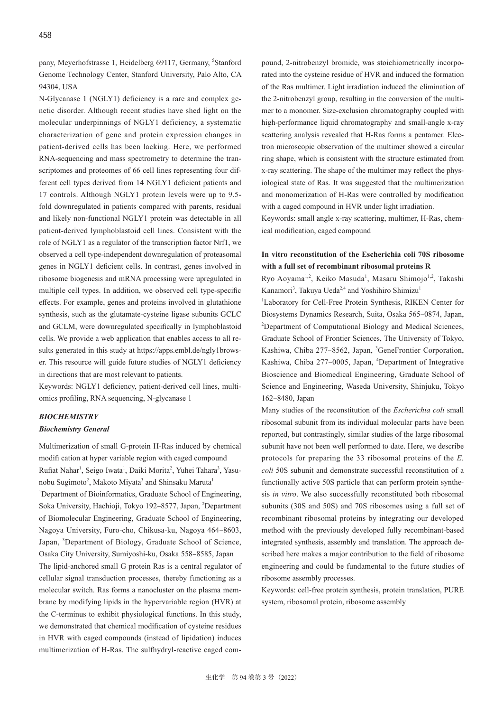pany, Meyerhofstrasse 1, Heidelberg 69117, Germany, <sup>5</sup>Stanford Genome Technology Center, Stanford University, Palo Alto, CA 94304, USA

N-Glycanase 1 (NGLY1) deficiency is a rare and complex genetic disorder. Although recent studies have shed light on the molecular underpinnings of NGLY1 deficiency, a systematic characterization of gene and protein expression changes in patient-derived cells has been lacking. Here, we performed RNA-sequencing and mass spectrometry to determine the transcriptomes and proteomes of 66 cell lines representing four different cell types derived from 14 NGLY1 deficient patients and 17 controls. Although NGLY1 protein levels were up to 9.5 fold downregulated in patients compared with parents, residual and likely non-functional NGLY1 protein was detectable in all patient-derived lymphoblastoid cell lines. Consistent with the role of NGLY1 as a regulator of the transcription factor Nrf1, we observed a cell type-independent downregulation of proteasomal genes in NGLY1 deficient cells. In contrast, genes involved in ribosome biogenesis and mRNA processing were upregulated in multiple cell types. In addition, we observed cell type-specific effects. For example, genes and proteins involved in glutathione synthesis, such as the glutamate-cysteine ligase subunits GCLC and GCLM, were downregulated specifically in lymphoblastoid cells. We provide a web application that enables access to all results generated in this study at https://apps.embl.de/ngly1browser. This resource will guide future studies of NGLY1 deficiency in directions that are most relevant to patients.

Keywords: NGLY1 deficiency, patient-derived cell lines, multiomics profiling, RNA sequencing, N-glycanase 1

# *BIOCHEMISTRY*

# *Biochemistry General*

Multimerization of small G-protein H-Ras induced by chemical modifi cation at hyper variable region with caged compound Rufiat Nahar<sup>1</sup>, Seigo Iwata<sup>1</sup>, Daiki Morita<sup>2</sup>, Yuhei Tahara<sup>3</sup>, Yasunobu Sugimoto<sup>2</sup>, Makoto Miyata<sup>3</sup> and Shinsaku Maruta<sup>1</sup> <sup>1</sup>Department of Bioinformatics, Graduate School of Engineering, Soka University, Hachioji, Tokyo 192-8577, Japan, <sup>2</sup>Department of Biomolecular Engineering, Graduate School of Engineering, Nagoya University, Furo-cho, Chikusa-ku, Nagoya 464‒8603, Japan, <sup>3</sup>Department of Biology, Graduate School of Science, Osaka City University, Sumiyoshi-ku, Osaka 558-8585, Japan The lipid-anchored small G protein Ras is a central regulator of cellular signal transduction processes, thereby functioning as a molecular switch. Ras forms a nanocluster on the plasma membrane by modifying lipids in the hypervariable region (HVR) at the C-terminus to exhibit physiological functions. In this study, we demonstrated that chemical modification of cysteine residues in HVR with caged compounds (instead of lipidation) induces multimerization of H-Ras. The sulfhydryl-reactive caged compound, 2-nitrobenzyl bromide, was stoichiometrically incorporated into the cysteine residue of HVR and induced the formation of the Ras multimer. Light irradiation induced the elimination of the 2-nitrobenzyl group, resulting in the conversion of the multimer to a monomer. Size-exclusion chromatography coupled with high-performance liquid chromatography and small-angle x-ray scattering analysis revealed that H-Ras forms a pentamer. Electron microscopic observation of the multimer showed a circular ring shape, which is consistent with the structure estimated from x-ray scattering. The shape of the multimer may reflect the physiological state of Ras. It was suggested that the multimerization and monomerization of H-Ras were controlled by modification with a caged compound in HVR under light irradiation.

Keywords: small angle x-ray scattering, multimer, H-Ras, chemical modification, caged compound

# **In vitro reconstitution of the Escherichia coli 70S ribosome with a full set of recombinant ribosomal proteins R**

Ryo Aoyama<sup>1,2</sup>, Keiko Masuda<sup>1</sup>, Masaru Shimojo<sup>1,2</sup>, Takashi Kanamori<sup>3</sup>, Takuya Ueda<sup>2,4</sup> and Yoshihiro Shimizu<sup>1</sup>

<sup>1</sup>Laboratory for Cell-Free Protein Synthesis, RIKEN Center for Biosystems Dynamics Research, Suita, Osaka 565-0874, Japan, <sup>2</sup>Department of Computational Biology and Medical Sciences, Graduate School of Frontier Sciences, The University of Tokyo, Kashiwa, Chiba 277-8562, Japan, <sup>3</sup>GeneFrontier Corporation, Kashiwa, Chiba 277-0005, Japan, <sup>4</sup>Department of Integrative Bioscience and Biomedical Engineering, Graduate School of Science and Engineering, Waseda University, Shinjuku, Tokyo 162‒8480, Japan

Many studies of the reconstitution of the *Escherichia coli* small ribosomal subunit from its individual molecular parts have been reported, but contrastingly, similar studies of the large ribosomal subunit have not been well performed to date. Here, we describe protocols for preparing the 33 ribosomal proteins of the *E. coli* 50S subunit and demonstrate successful reconstitution of a functionally active 50S particle that can perform protein synthesis *in vitro*. We also successfully reconstituted both ribosomal subunits (30S and 50S) and 70S ribosomes using a full set of recombinant ribosomal proteins by integrating our developed method with the previously developed fully recombinant-based integrated synthesis, assembly and translation. The approach described here makes a major contribution to the field of ribosome engineering and could be fundamental to the future studies of ribosome assembly processes.

Keywords: cell-free protein synthesis, protein translation, PURE system, ribosomal protein, ribosome assembly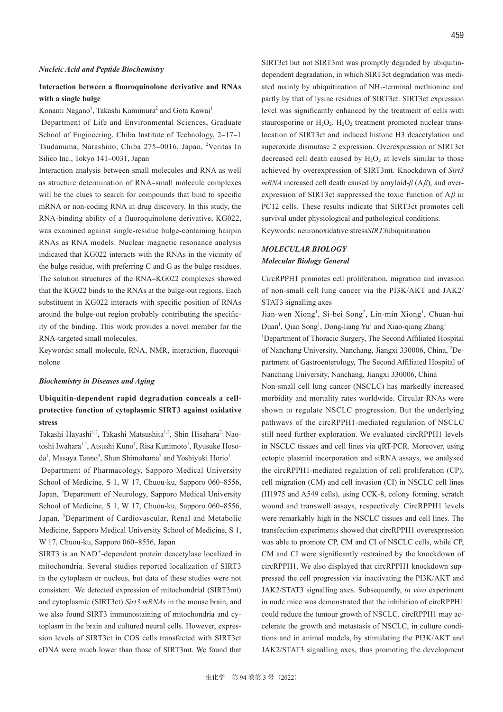# **Interaction between a fluoroquinolone derivative and RNAs with a single bulge**

Konami Nagano<sup>1</sup>, Takashi Kamimura<sup>2</sup> and Gota Kawai<sup>1</sup>

<sup>1</sup>Department of Life and Environmental Sciences, Graduate School of Engineering, Chiba Institute of Technology, 2-17-1 Tsudanuma, Narashino, Chiba 275-0016, Japan, <sup>2</sup>Veritas In Silico Inc., Tokyo 141-0031, Japan

Interaction analysis between small molecules and RNA as well as structure determination of RNA-small molecule complexes will be the clues to search for compounds that bind to specific mRNA or non-coding RNA in drug discovery. In this study, the RNA-binding ability of a fluoroquinolone derivative, KG022, was examined against single-residue bulge-containing hairpin RNAs as RNA models. Nuclear magnetic resonance analysis indicated that KG022 interacts with the RNAs in the vicinity of the bulge residue, with preferring C and G as the bulge residues. The solution structures of the RNA-KG022 complexes showed that the KG022 binds to the RNAs at the bulge-out regions. Each substituent in KG022 interacts with specific position of RNAs around the bulge-out region probably contributing the specificity of the binding. This work provides a novel member for the RNA-targeted small molecules.

Keywords: small molecule, RNA, NMR, interaction, fluoroquinolone

#### *Biochemistry in Diseases and Aging*

# **Ubiquitin-dependent rapid degradation conceals a cellprotective function of cytoplasmic SIRT3 against oxidative stress**

Takashi Hayashi<sup>1,2</sup>, Takashi Matsushita<sup>1,2</sup>, Shin Hisahara<sup>2,</sup> Naotoshi Iwahara<sup>1,2</sup>, Atsushi Kuno<sup>1</sup>, Risa Kunimoto<sup>1</sup>, Ryusuke Hosoda<sup>1</sup>, Masaya Tanno<sup>3</sup>, Shun Shimohama<sup>2</sup> and Yoshiyuki Horio<sup>1</sup>

<sup>1</sup>Department of Pharmacology, Sapporo Medical University School of Medicine, S 1, W 17, Chuou-ku, Sapporo 060-8556, Japan, <sup>2</sup>Department of Neurology, Sapporo Medical University School of Medicine, S 1, W 17, Chuou-ku, Sapporo 060-8556, Japan, <sup>3</sup>Department of Cardiovascular, Renal and Metabolic Medicine, Sapporo Medical University School of Medicine, S 1, W 17, Chuou-ku, Sapporo 060‒8556, Japan

SIRT3 is an NAD<sup>+</sup>-dependent protein deacetylase localized in mitochondria. Several studies reported localization of SIRT3 in the cytoplasm or nucleus, but data of these studies were not consistent. We detected expression of mitochondrial (SIRT3mt) and cytoplasmic (SIRT3ct) *Sirt3 mRNAs* in the mouse brain, and we also found SIRT3 immunostaining of mitochondria and cytoplasm in the brain and cultured neural cells. However, expression levels of SIRT3ct in COS cells transfected with SIRT3ct cDNA were much lower than those of SIRT3mt. We found that SIRT3ct but not SIRT3mt was promptly degraded by ubiquitindependent degradation, in which SIRT3ct degradation was mediated mainly by ubiquitination of NH<sub>2</sub>-terminal methionine and partly by that of lysine residues of SIRT3ct. SIRT3ct expression level was significantly enhanced by the treatment of cells with staurosporine or  $H_2O_2$ .  $H_2O_2$  treatment promoted nuclear translocation of SIRT3ct and induced histone H3 deacetylation and superoxide dismutase 2 expression. Overexpression of SIRT3ct decreased cell death caused by  $H_2O_2$  at levels similar to those achieved by overexpression of SIRT3mt. Knockdown of *Sirt3 mRNA* increased cell death caused by amyloid-*β* (A*β*), and overexpression of SIRT3ct suppressed the toxic function of A*β* in PC12 cells. These results indicate that SIRT3ct promotes cell survival under physiological and pathological conditions. Keywords: neuronoxidative stress*SIRT3*ubiquitination

### *MOLECULAR BIOLOGY Molecular Biology General*

CircRPPH1 promotes cell proliferation, migration and invasion of non-small cell lung cancer via the PI3K/AKT and JAK2/ STAT3 signalling axes

Jian-wen Xiong<sup>1</sup>, Si-bei Song<sup>2</sup>, Lin-min Xiong<sup>1</sup>, Chuan-hui Duan<sup>1</sup>, Qian Song<sup>1</sup>, Dong-liang Yu<sup>1</sup> and Xiao-qiang Zhang<sup>1</sup> <sup>1</sup>Department of Thoracic Surgery, The Second Affiliated Hospital of Nanchang University, Nanchang, Jiangxi 330006, China, <sup>2</sup> Department of Gastroenterology, The Second Affiliated Hospital of Nanchang University, Nanchang, Jiangxi 330006, China Non-small cell lung cancer (NSCLC) has markedly increased morbidity and mortality rates worldwide. Circular RNAs were shown to regulate NSCLC progression. But the underlying pathways of the circRPPH1-mediated regulation of NSCLC still need further exploration. We evaluated circRPPH1 levels in NSCLC tissues and cell lines via qRT-PCR. Moreover, using ectopic plasmid incorporation and siRNA assays, we analysed the circRPPH1-mediated regulation of cell proliferation (CP), cell migration (CM) and cell invasion (CI) in NSCLC cell lines (H1975 and A549 cells), using CCK-8, colony forming, scratch wound and transwell assays, respectively. CircRPPH1 levels were remarkably high in the NSCLC tissues and cell lines. The transfection experiments showed that circRPPH1 overexpression was able to promote CP, CM and CI of NSCLC cells, while CP, CM and CI were significantly restrained by the knockdown of circRPPH1. We also displayed that circRPPH1 knockdown suppressed the cell progression via inactivating the PI3K/AKT and JAK2/STAT3 signalling axes. Subsequently, *in vivo* experiment in nude mice was demonstrated that the inhibition of circRPPH1 could reduce the tumour growth of NSCLC. circRPPH1 may accelerate the growth and metastasis of NSCLC, in culture conditions and in animal models, by stimulating the PI3K/AKT and JAK2/STAT3 signalling axes, thus promoting the development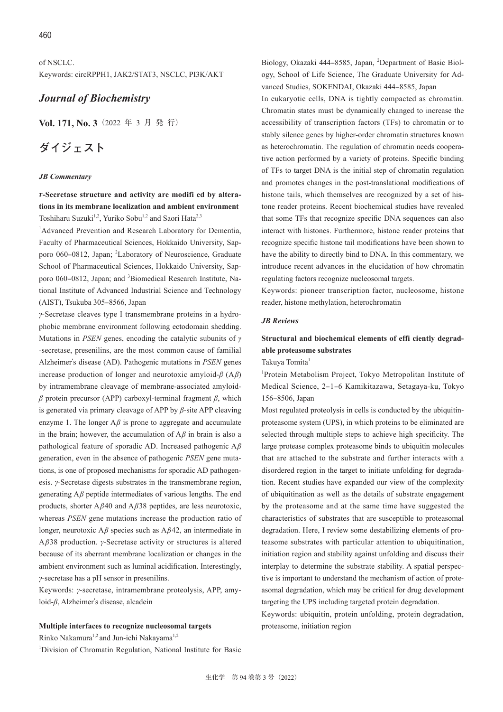of NSCLC. Keywords: circRPPH1, JAK2/STAT3, NSCLC, PI3K/AKT

# *Journal of Biochemistry*

**Vol. 171, No. 3**(2022 年 3 月 発 行)

# **ダイジェスト**

#### *JB Commentary*

*ɤ***-Secretase structure and activity are modifi ed by alterations in its membrane localization and ambient environment** Toshiharu Suzuki<sup>1,2</sup>, Yuriko Sobu<sup>1,2</sup> and Saori Hata<sup>2,3</sup>

<sup>1</sup>Advanced Prevention and Research Laboratory for Dementia, Faculty of Pharmaceutical Sciences, Hokkaido University, Sapporo 060-0812, Japan; <sup>2</sup>Laboratory of Neuroscience, Graduate School of Pharmaceutical Sciences, Hokkaido University, Sapporo 060-0812, Japan; and <sup>3</sup>Biomedical Research Institute, National Institute of Advanced Industrial Science and Technology (AIST), Tsukuba 305‒8566, Japan

*γ*-Secretase cleaves type I transmembrane proteins in a hydrophobic membrane environment following ectodomain shedding. Mutations in *PSEN* genes, encoding the catalytic subunits of *γ* -secretase, presenilins, are the most common cause of familial Alzheimer's disease (AD). Pathogenic mutations in *PSEN* genes increase production of longer and neurotoxic amyloid-*β* (A*β*) by intramembrane cleavage of membrane-associated amyloid*β* protein precursor (APP) carboxyl-terminal fragment *β*, which is generated via primary cleavage of APP by *β*-site APP cleaving enzyme 1. The longer A*β* is prone to aggregate and accumulate in the brain; however, the accumulation of A*β* in brain is also a pathological feature of sporadic AD. Increased pathogenic A*β* generation, even in the absence of pathogenic *PSEN* gene mutations, is one of proposed mechanisms for sporadic AD pathogenesis. *γ*-Secretase digests substrates in the transmembrane region, generating A*β* peptide intermediates of various lengths. The end products, shorter A*β*40 and A*β*38 peptides, are less neurotoxic, whereas *PSEN* gene mutations increase the production ratio of longer, neurotoxic A*β* species such as A*β*42, an intermediate in A*β*38 production. *γ*-Secretase activity or structures is altered because of its aberrant membrane localization or changes in the ambient environment such as luminal acidification. Interestingly, *γ*-secretase has a pH sensor in presenilins.

Keywords: *γ*-secretase, intramembrane proteolysis, APP, amyloid-*β*, Alzheimer's disease, alcadein

#### **Multiple interfaces to recognize nucleosomal targets**

Rinko Nakamura<sup>1,2</sup> and Jun-ichi Nakayama<sup>1,2</sup>

<sup>1</sup>Division of Chromatin Regulation, National Institute for Basic

Biology, Okazaki 444-8585, Japan, <sup>2</sup>Department of Basic Biology, School of Life Science, The Graduate University for Advanced Studies, SOKENDAI, Okazaki 444‒8585, Japan

In eukaryotic cells, DNA is tightly compacted as chromatin. Chromatin states must be dynamically changed to increase the accessibility of transcription factors (TFs) to chromatin or to stably silence genes by higher-order chromatin structures known as heterochromatin. The regulation of chromatin needs cooperative action performed by a variety of proteins. Specific binding of TFs to target DNA is the initial step of chromatin regulation and promotes changes in the post-translational modifications of histone tails, which themselves are recognized by a set of histone reader proteins. Recent biochemical studies have revealed that some TFs that recognize specific DNA sequences can also interact with histones. Furthermore, histone reader proteins that recognize specific histone tail modifications have been shown to have the ability to directly bind to DNA. In this commentary, we introduce recent advances in the elucidation of how chromatin regulating factors recognize nucleosomal targets.

Keywords: pioneer transcription factor, nucleosome, histone reader, histone methylation, heterochromatin

#### *JB Reviews*

# **Structural and biochemical elements of effi ciently degradable proteasome substrates**

Takuya Tomita<sup>1</sup>

<sup>1</sup>Protein Metabolism Project, Tokyo Metropolitan Institute of Medical Science, 2‒1‒6 Kamikitazawa, Setagaya-ku, Tokyo 156‒8506, Japan

Most regulated proteolysis in cells is conducted by the ubiquitinproteasome system (UPS), in which proteins to be eliminated are selected through multiple steps to achieve high specificity. The large protease complex proteasome binds to ubiquitin molecules that are attached to the substrate and further interacts with a disordered region in the target to initiate unfolding for degradation. Recent studies have expanded our view of the complexity of ubiquitination as well as the details of substrate engagement by the proteasome and at the same time have suggested the characteristics of substrates that are susceptible to proteasomal degradation. Here, I review some destabilizing elements of proteasome substrates with particular attention to ubiquitination, initiation region and stability against unfolding and discuss their interplay to determine the substrate stability. A spatial perspective is important to understand the mechanism of action of proteasomal degradation, which may be critical for drug development targeting the UPS including targeted protein degradation.

Keywords: ubiquitin, protein unfolding, protein degradation, proteasome, initiation region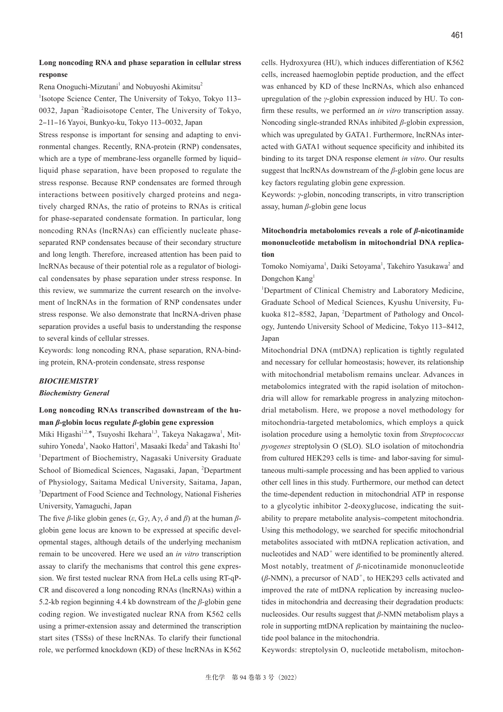### **Long noncoding RNA and phase separation in cellular stress response**

Rena Onoguchi-Mizutani<sup>1</sup> and Nobuyoshi Akimitsu<sup>2</sup>

<sup>1</sup>Isotope Science Center, The University of Tokyo, Tokyo 113-0032, Japan <sup>2</sup>Radioisotope Center, The University of Tokyo, 2‒11‒16 Yayoi, Bunkyo-ku, Tokyo 113‒0032, Japan

Stress response is important for sensing and adapting to environmental changes. Recently, RNA-protein (RNP) condensates, which are a type of membrane-less organelle formed by liquidliquid phase separation, have been proposed to regulate the stress response. Because RNP condensates are formed through interactions between positively charged proteins and negatively charged RNAs, the ratio of proteins to RNAs is critical for phase-separated condensate formation. In particular, long noncoding RNAs (lncRNAs) can efficiently nucleate phaseseparated RNP condensates because of their secondary structure and long length. Therefore, increased attention has been paid to lncRNAs because of their potential role as a regulator of biological condensates by phase separation under stress response. In this review, we summarize the current research on the involvement of lncRNAs in the formation of RNP condensates under stress response. We also demonstrate that lncRNA-driven phase separation provides a useful basis to understanding the response to several kinds of cellular stresses.

Keywords: long noncoding RNA, phase separation, RNA-binding protein, RNA-protein condensate, stress response

#### *BIOCHEMISTRY*

#### *Biochemistry General*

# **Long noncoding RNAs transcribed downstream of the human** *β***-globin locus regulate** *β***-globin gene expression**

Miki Higashi<sup>1,2,\*</sup>, Tsuyoshi Ikehara<sup>1,3</sup>, Takeya Nakagawa<sup>1</sup>, Mitsuhiro Yoneda<sup>1</sup>, Naoko Hattori<sup>1</sup>, Masaaki Ikeda<sup>2</sup> and Takashi Ito<sup>1</sup> <sup>1</sup>Department of Biochemistry, Nagasaki University Graduate School of Biomedical Sciences, Nagasaki, Japan, <sup>2</sup>Department of Physiology, Saitama Medical University, Saitama, Japan, <sup>3</sup>Department of Food Science and Technology, National Fisheries University, Yamaguchi, Japan

The five *β*-like globin genes (*ε*, G*γ*, A*γ*, *δ* and *β*) at the human *β*globin gene locus are known to be expressed at specific developmental stages, although details of the underlying mechanism remain to be uncovered. Here we used an *in vitro* transcription assay to clarify the mechanisms that control this gene expression. We first tested nuclear RNA from HeLa cells using RT-qP-CR and discovered a long noncoding RNAs (lncRNAs) within a 5.2-kb region beginning 4.4 kb downstream of the *β*-globin gene coding region. We investigated nuclear RNA from K562 cells using a primer-extension assay and determined the transcription start sites (TSSs) of these lncRNAs. To clarify their functional role, we performed knockdown (KD) of these lncRNAs in K562

cells. Hydroxyurea (HU), which induces differentiation of K562 cells, increased haemoglobin peptide production, and the effect was enhanced by KD of these lncRNAs, which also enhanced upregulation of the *γ*-globin expression induced by HU. To confirm these results, we performed an *in vitro* transcription assay. Noncoding single-stranded RNAs inhibited *β*-globin expression, which was upregulated by GATA1. Furthermore, lncRNAs interacted with GATA1 without sequence specificity and inhibited its binding to its target DNA response element *in vitro*. Our results suggest that lncRNAs downstream of the *β*-globin gene locus are key factors regulating globin gene expression.

Keywords: *γ*-globin, noncoding transcripts, in vitro transcription assay, human *β*-globin gene locus

# **Mitochondria metabolomics reveals a role of** *β***-nicotinamide mononucleotide metabolism in mitochondrial DNA replication**

Tomoko Nomiyama<sup>1</sup>, Daiki Setoyama<sup>1</sup>, Takehiro Yasukawa<sup>2</sup> and Dongchon Kang<sup>1</sup>

<sup>1</sup>Department of Clinical Chemistry and Laboratory Medicine, Graduate School of Medical Sciences, Kyushu University, Fukuoka 812-8582, Japan, <sup>2</sup>Department of Pathology and Oncology, Juntendo University School of Medicine, Tokyo 113-8412, Japan

Mitochondrial DNA (mtDNA) replication is tightly regulated and necessary for cellular homeostasis; however, its relationship with mitochondrial metabolism remains unclear. Advances in metabolomics integrated with the rapid isolation of mitochondria will allow for remarkable progress in analyzing mitochondrial metabolism. Here, we propose a novel methodology for mitochondria-targeted metabolomics, which employs a quick isolation procedure using a hemolytic toxin from *Streptococcus pyogenes* streptolysin O (SLO). SLO isolation of mitochondria from cultured HEK293 cells is time- and labor-saving for simultaneous multi-sample processing and has been applied to various other cell lines in this study. Furthermore, our method can detect the time-dependent reduction in mitochondrial ATP in response to a glycolytic inhibitor 2-deoxyglucose, indicating the suitability to prepare metabolite analysis-competent mitochondria. Using this methodology, we searched for specific mitochondrial metabolites associated with mtDNA replication activation, and nucleotides and NAD<sup>+</sup> were identified to be prominently altered. Most notably, treatment of *β*-nicotinamide mononucleotide  $(\beta\text{-NMN})$ , a precursor of NAD<sup>+</sup>, to HEK293 cells activated and improved the rate of mtDNA replication by increasing nucleotides in mitochondria and decreasing their degradation products: nucleosides. Our results suggest that *β*-NMN metabolism plays a role in supporting mtDNA replication by maintaining the nucleotide pool balance in the mitochondria.

Keywords: streptolysin O, nucleotide metabolism, mitochon-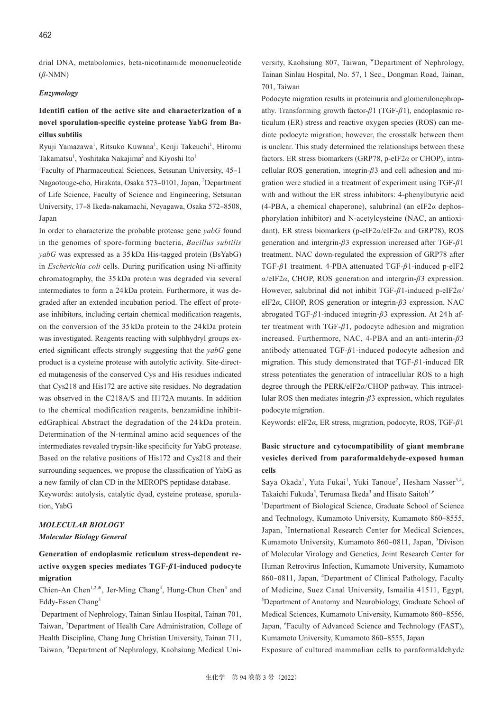drial DNA, metabolomics, beta-nicotinamide mononucleotide (*β*-NMN)

#### *Enzymology*

### **Identifi cation of the active site and characterization of a novel sporulation-specific cysteine protease YabG from Bacillus subtilis**

Ryuji Yamazawa<sup>1</sup>, Ritsuko Kuwana<sup>1</sup>, Kenji Takeuchi<sup>1</sup>, Hiromu Takamatsu<sup>1</sup>, Yoshitaka Nakajima<sup>2</sup> and Kiyoshi Ito<sup>1</sup>

<sup>1</sup>Faculty of Pharmaceutical Sciences, Setsunan University, 45-1 Nagaotouge-cho, Hirakata, Osaka 573-0101, Japan, <sup>2</sup>Department of Life Science, Faculty of Science and Engineering, Setsunan University, 17‒8 Ikeda-nakamachi, Neyagawa, Osaka 572‒8508, Japan

In order to characterize the probable protease gene *yabG* found in the genomes of spore-forming bacteria, *Bacillus subtilis yabG* was expressed as a 35 kDa His-tagged protein (BsYabG) in *Escherichia coli* cells. During purification using Ni-affinity chromatography, the 35 kDa protein was degraded via several intermediates to form a 24 kDa protein. Furthermore, it was degraded after an extended incubation period. The effect of protease inhibitors, including certain chemical modification reagents, on the conversion of the 35 kDa protein to the 24 kDa protein was investigated. Reagents reacting with sulphhydryl groups exerted significant effects strongly suggesting that the *yabG* gene product is a cysteine protease with autolytic activity. Site-directed mutagenesis of the conserved Cys and His residues indicated that Cys218 and His172 are active site residues. No degradation was observed in the C218A/S and H172A mutants. In addition to the chemical modification reagents, benzamidine inhibitedGraphical Abstract the degradation of the 24 kDa protein. Determination of the N-terminal amino acid sequences of the intermediates revealed trypsin-like specificity for YabG protease. Based on the relative positions of His172 and Cys218 and their surrounding sequences, we propose the classification of YabG as a new family of clan CD in the MEROPS peptidase database.

Keywords: autolysis, catalytic dyad, cysteine protease, sporulation, YabG

### *MOLECULAR BIOLOGY*

#### *Molecular Biology General*

# **Generation of endoplasmic reticulum stress-dependent reactive oxygen species mediates TGF-***β***1-induced podocyte migration**

Chien-An Chen<sup>1,2,\*</sup>, Jer-Ming Chang<sup>3</sup>, Hung-Chun Chen<sup>3</sup> and Eddy-Essen Chang<sup>3</sup>

<sup>1</sup>Department of Nephrology, Tainan Sinlau Hospital, Tainan 701, Taiwan, <sup>2</sup>Department of Health Care Administration, College of Health Discipline, Chang Jung Christian University, Tainan 711, Taiwan, <sup>3</sup>Department of Nephrology, Kaohsiung Medical University, Kaohsiung 807, Taiwan, \*Department of Nephrology, Tainan Sinlau Hospital, No. 57, 1 Sec., Dongman Road, Tainan, 701, Taiwan

Podocyte migration results in proteinuria and glomerulonephropathy. Transforming growth factor-*β*1 (TGF-*β*1), endoplasmic reticulum (ER) stress and reactive oxygen species (ROS) can mediate podocyte migration; however, the crosstalk between them is unclear. This study determined the relationships between these factors. ER stress biomarkers (GRP78, p-eIF2*α* or CHOP), intracellular ROS generation, integrin-*β*3 and cell adhesion and migration were studied in a treatment of experiment using TGF-*β*1 with and without the ER stress inhibitors: 4-phenylbutyric acid (4-PBA, a chemical chaperone), salubrinal (an eIF2*α* dephosphorylation inhibitor) and N-acetylcysteine (NAC, an antioxidant). ER stress biomarkers (p-eIF2*α*/eIF2*α* and GRP78), ROS generation and intergrin-*β*3 expression increased after TGF-*β*1 treatment. NAC down-regulated the expression of GRP78 after TGF-*β*1 treatment. 4-PBA attenuated TGF-*β*1-induced p-eIF2 *α*/eIF2*α*, CHOP, ROS generation and intergrin-*β*3 expression. However, salubrinal did not inhibit TGF-*β*1-induced p-eIF2*α*/ eIF2*α*, CHOP, ROS generation or integrin-*β*3 expression. NAC abrogated TGF-*β*1-induced integrin-*β*3 expression. At 24 h after treatment with TGF-*β*1, podocyte adhesion and migration increased. Furthermore, NAC, 4-PBA and an anti-interin-*β*3 antibody attenuated TGF-*β*1-induced podocyte adhesion and migration. This study demonstrated that TGF-*β*1-induced ER stress potentiates the generation of intracellular ROS to a high degree through the PERK/eIF2*α*/CHOP pathway. This intracellular ROS then mediates integrin-*β*3 expression, which regulates podocyte migration.

Keywords: eIF2*α*, ER stress, migration, podocyte, ROS, TGF-*β*1

# **Basic structure and cytocompatibility of giant membrane vesicles derived from paraformaldehyde-exposed human cells**

Saya Okada<sup>1</sup>, Yuta Fukai<sup>1</sup>, Yuki Tanoue<sup>2</sup>, Hesham Nasser<sup>3,4</sup>, Takaichi Fukuda<sup>5</sup>, Terumasa Ikeda<sup>3</sup> and Hisato Saitoh<sup>1,6</sup>

<sup>1</sup>Department of Biological Science, Graduate School of Science and Technology, Kumamoto University, Kumamoto 860-8555, Japan, <sup>2</sup>International Research Center for Medical Sciences, Kumamoto University, Kumamoto 860-0811, Japan, <sup>3</sup>Divison of Molecular Virology and Genetics, Joint Research Center for Human Retrovirus Infection, Kumamoto University, Kumamoto 860-0811, Japan, <sup>4</sup>Department of Clinical Pathology, Faculty of Medicine, Suez Canal University, Ismailia 41511, Egypt, 5 Department of Anatomy and Neurobiology, Graduate School of Medical Sciences, Kumamoto University, Kumamoto 860-8556, Japan, <sup>6</sup>Faculty of Advanced Science and Technology (FAST), Kumamoto University, Kumamoto 860-8555, Japan

Exposure of cultured mammalian cells to paraformaldehyde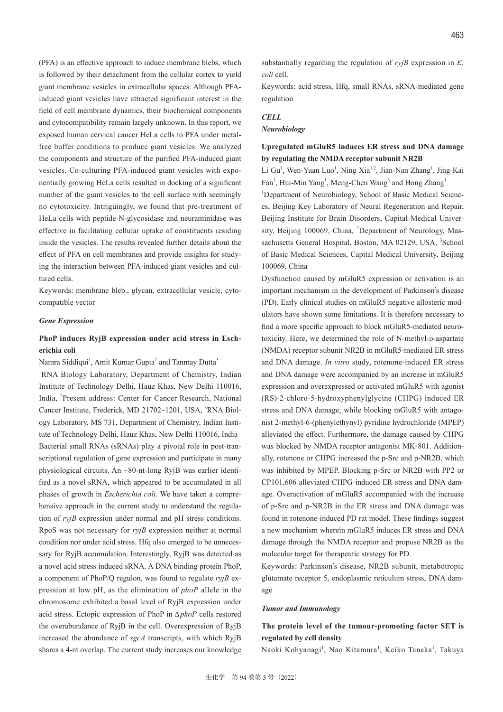(PFA) is an effective approach to induce membrane blebs, which is followed by their detachment from the cellular cortex to yield giant membrane vesicles in extracellular spaces. Although PFAinduced giant vesicles have attracted significant interest in the field of cell membrane dynamics, their biochemical components and cytocompatibility remain largely unknown. In this report, we exposed human cervical cancer HeLa cells to PFA under metalfree buffer conditions to produce giant vesicles. We analyzed the components and structure of the purified PFA-induced giant vesicles. Co-culturing PFA-induced giant vesicles with exponentially growing HeLa cells resulted in docking of a significant number of the giant vesicles to the cell surface with seemingly no cytotoxicity. Intriguingly, we found that pre-treatment of HeLa cells with peptide-N-glycosidase and neuraminidase was effective in facilitating cellular uptake of constituents residing inside the vesicles. The results revealed further details about the effect of PFA on cell membranes and provide insights for studying the interaction between PFA-induced giant vesicles and cultured cells.

Keywords: membrane bleb., glycan, extracellular vesicle, cytocompatible vector

#### *Gene Expression*

### **PhoP induces RyjB expression under acid stress in Escherichia coli**

Namra Siddiqui<sup>1</sup>, Amit Kumar Gupta<sup>2</sup> and Tanmay Dutta<sup>3</sup> <sup>1</sup>RNA Biology Laboratory, Department of Chemistry, Indian Institute of Technology Delhi, Hauz Khas, New Delhi 110016, India, <sup>2</sup>Present address: Center for Cancer Research, National Cancer Institute, Frederick, MD 21702-1201, USA, <sup>3</sup>RNA Biology Laboratory, MS 731, Department of Chemistry, Indian Institute of Technology Delhi, Hauz Khas, New Delhi 110016, India Bacterial small RNAs (sRNAs) play a pivotal role in post-transcriptional regulation of gene expression and participate in many physiological circuits. An ~80-nt-long RyjB was earlier identified as a novel sRNA, which appeared to be accumulated in all phases of growth in *Escherichia coli*. We have taken a comprehensive approach in the current study to understand the regulation of *ryjB* expression under normal and pH stress conditions. RpoS was not necessary for *ryjB* expression neither at normal condition nor under acid stress. Hfq also emerged to be unnecessary for RyjB accumulation. Interestingly, RyjB was detected as a novel acid stress induced sRNA. A DNA binding protein PhoP, a component of PhoP/Q regulon, was found to regulate *ryjB* expression at low pH, as the elimination of *phoP* allele in the chromosome exhibited a basal level of RyjB expression under acid stress. Ectopic expression of PhoP in Δ*phoP* cells restored the overabundance of RyjB in the cell. Overexpression of RyjB increased the abundance of *sgcA* transcripts, with which RyjB shares a 4-nt overlap. The current study increases our knowledge

substantially regarding the regulation of *ryjB* expression in *E. coli* cell.

Keywords: acid stress, Hfq, small RNAs, sRNA-mediated gene regulation

### *CELL*

#### *Neurobiology*

### **Upregulated mGluR5 induces ER stress and DNA damage by regulating the NMDA receptor subunit NR2B**

Li Gu<sup>1</sup>, Wen-Yuan Luo<sup>1</sup>, Ning Xia<sup>1,2</sup>, Jian-Nan Zhang<sup>1</sup>, Jing-Kai Fan<sup>1</sup>, Hui-Min Yang<sup>1</sup>, Meng-Chen Wang<sup>3</sup> and Hong Zhang<sup>1</sup> <sup>1</sup>Department of Neurobiology, School of Basic Medical Sciences, Beijing Key Laboratory of Neural Regeneration and Repair, Beijing Institute for Brain Disorders, Capital Medical Univer-

sity, Beijing 100069, China, <sup>2</sup>Department of Neurology, Massachusetts General Hospital, Boston, MA 02129, USA, <sup>3</sup>School of Basic Medical Sciences, Capital Medical University, Beijing 100069, China

Dysfunction caused by mGluR5 expression or activation is an important mechanism in the development of Parkinson's disease (PD). Early clinical studies on mGluR5 negative allosteric modulators have shown some limitations. It is therefore necessary to find a more specific approach to block mGluR5-mediated neurotoxicity. Here, we determined the role of N-methyl-D-aspartate (NMDA) receptor subunit NR2B in mGluR5-mediated ER stress and DNA damage. *In vitro* study, rotenone-induced ER stress and DNA damage were accompanied by an increase in mGluR5 expression and overexpressed or activated mGluR5 with agonist (RS)-2-chloro-5-hydroxyphenylglycine (CHPG) induced ER stress and DNA damage, while blocking mGluR5 with antagonist 2-methyl-6-(phenylethynyl) pyridine hydrochloride (MPEP) alleviated the effect. Furthermore, the damage caused by CHPG was blocked by NMDA receptor antagonist MK-801. Additionally, rotenone or CHPG increased the p-Src and p-NR2B, which was inhibited by MPEP. Blocking p-Src or NR2B with PP2 or CP101,606 alleviated CHPG-induced ER stress and DNA damage. Overactivation of mGluR5 accompanied with the increase of p-Src and p-NR2B in the ER stress and DNA damage was found in rotenone-induced PD rat model. These findings suggest a new mechanism wherein mGluR5 induces ER stress and DNA damage through the NMDA receptor and propose NR2B as the molecular target for therapeutic strategy for PD.

Keywords: Parkinson's disease, NR2B subunit, metabotropic glutamate receptor 5, endoplasmic reticulum stress, DNA damage

#### *Tumor and Immunology*

# **The protein level of the tumour-promoting factor SET is regulated by cell density**

Naoki Kohyanagi<sup>1</sup>, Nao Kitamura<sup>1</sup>, Keiko Tanaka<sup>1</sup>, Takuya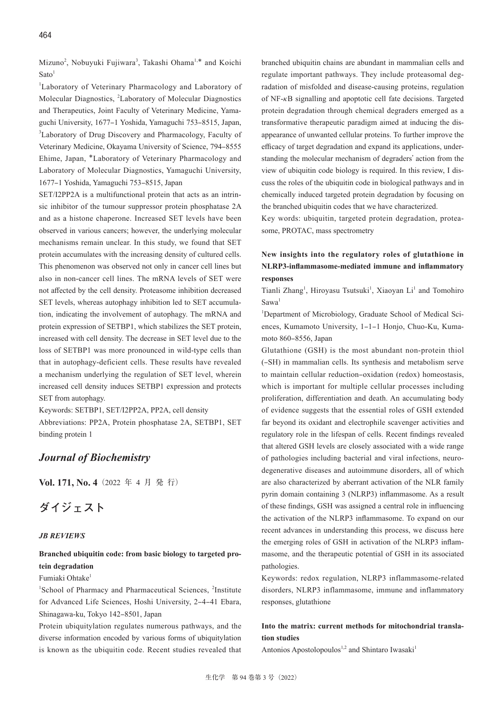Mizuno<sup>2</sup>, Nobuyuki Fujiwara<sup>3</sup>, Takashi Ohama<sup>1,\*</sup> and Koichi  $Sato<sup>1</sup>$ 

1 Laboratory of Veterinary Pharmacology and Laboratory of Molecular Diagnostics, <sup>2</sup> Laboratory of Molecular Diagnostics and Therapeutics, Joint Faculty of Veterinary Medicine, Yamaguchi University, 1677-1 Yoshida, Yamaguchi 753-8515, Japan, <sup>3</sup>Laboratory of Drug Discovery and Pharmacology, Faculty of Veterinary Medicine, Okayama University of Science, 794‒8555 Ehime, Japan, \*Laboratory of Veterinary Pharmacology and Laboratory of Molecular Diagnostics, Yamaguchi University, 1677-1 Yoshida, Yamaguchi 753-8515, Japan

SET/I2PP2A is a multifunctional protein that acts as an intrinsic inhibitor of the tumour suppressor protein phosphatase 2A and as a histone chaperone. Increased SET levels have been observed in various cancers; however, the underlying molecular mechanisms remain unclear. In this study, we found that SET protein accumulates with the increasing density of cultured cells. This phenomenon was observed not only in cancer cell lines but also in non-cancer cell lines. The mRNA levels of SET were not affected by the cell density. Proteasome inhibition decreased SET levels, whereas autophagy inhibition led to SET accumulation, indicating the involvement of autophagy. The mRNA and protein expression of SETBP1, which stabilizes the SET protein, increased with cell density. The decrease in SET level due to the loss of SETBP1 was more pronounced in wild-type cells than that in autophagy-deficient cells. These results have revealed a mechanism underlying the regulation of SET level, wherein increased cell density induces SETBP1 expression and protects SET from autophagy.

Keywords: SETBP1, SET/I2PP2A, PP2A, cell density

Abbreviations: PP2A, Protein phosphatase 2A, SETBP1, SET binding protein 1

# *Journal of Biochemistry*

**Vol. 171, No. 4**(2022 年 4 月 発 行)

# **ダイジェスト**

#### *JB REVIEWS*

### **Branched ubiquitin code: from basic biology to targeted protein degradation**

### Fumiaki Ohtake<sup>1</sup>

<sup>1</sup>School of Pharmacy and Pharmaceutical Sciences, <sup>2</sup>Institute for Advanced Life Sciences, Hoshi University, 2-4-41 Ebara, Shinagawa-ku, Tokyo 142‒8501, Japan

Protein ubiquitylation regulates numerous pathways, and the diverse information encoded by various forms of ubiquitylation is known as the ubiquitin code. Recent studies revealed that branched ubiquitin chains are abundant in mammalian cells and regulate important pathways. They include proteasomal degradation of misfolded and disease-causing proteins, regulation of NF-*κ*B signalling and apoptotic cell fate decisions. Targeted protein degradation through chemical degraders emerged as a transformative therapeutic paradigm aimed at inducing the disappearance of unwanted cellular proteins. To further improve the efficacy of target degradation and expand its applications, understanding the molecular mechanism of degraders' action from the view of ubiquitin code biology is required. In this review, I discuss the roles of the ubiquitin code in biological pathways and in chemically induced targeted protein degradation by focusing on the branched ubiquitin codes that we have characterized.

Key words: ubiquitin, targeted protein degradation, proteasome, PROTAC, mass spectrometry

# **New insights into the regulatory roles of glutathione in NLRP3-inflammasome-mediated immune and inflammatory responses**

Tianli Zhang<sup>1</sup>, Hiroyasu Tsutsuki<sup>1</sup>, Xiaoyan Li<sup>1</sup> and Tomohiro Sawa<sup>1</sup>

<sup>1</sup>Department of Microbiology, Graduate School of Medical Sciences, Kumamoto University, 1-1-1 Honjo, Chuo-Ku, Kumamoto 860‒8556, Japan

Glutathione (GSH) is the most abundant non-protein thiol (‒SH) in mammalian cells. Its synthesis and metabolism serve to maintain cellular reduction-oxidation (redox) homeostasis, which is important for multiple cellular processes including proliferation, differentiation and death. An accumulating body of evidence suggests that the essential roles of GSH extended far beyond its oxidant and electrophile scavenger activities and regulatory role in the lifespan of cells. Recent findings revealed that altered GSH levels are closely associated with a wide range of pathologies including bacterial and viral infections, neurodegenerative diseases and autoimmune disorders, all of which are also characterized by aberrant activation of the NLR family pyrin domain containing 3 (NLRP3) inflammasome. As a result of these findings, GSH was assigned a central role in influencing the activation of the NLRP3 inflammasome. To expand on our recent advances in understanding this process, we discuss here the emerging roles of GSH in activation of the NLRP3 inflammasome, and the therapeutic potential of GSH in its associated pathologies.

Keywords: redox regulation, NLRP3 inflammasome-related disorders, NLRP3 inflammasome, immune and inflammatory responses, glutathione

### **Into the matrix: current methods for mitochondrial translation studies**

Antonios Apostolopoulos<sup>1,2</sup> and Shintaro Iwasaki<sup>1</sup>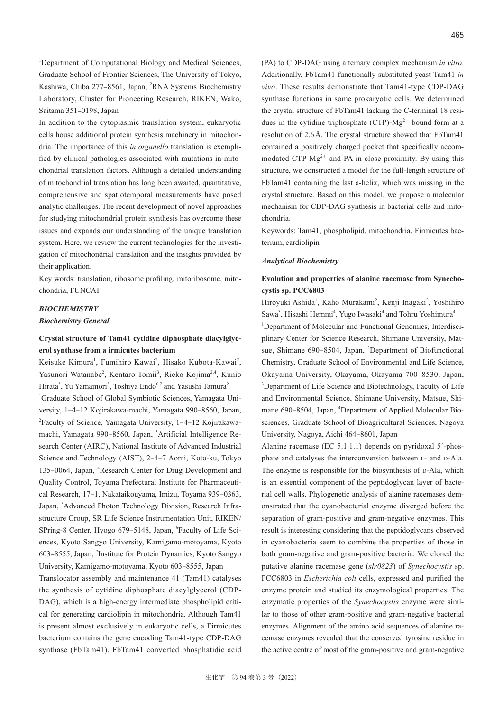<sup>1</sup>Department of Computational Biology and Medical Sciences, Graduate School of Frontier Sciences, The University of Tokyo, Kashiwa, Chiba 277-8561, Japan, <sup>2</sup>RNA Systems Biochemistry Laboratory, Cluster for Pioneering Research, RIKEN, Wako, Saitama 351-0198, Japan

In addition to the cytoplasmic translation system, eukaryotic cells house additional protein synthesis machinery in mitochondria. The importance of this *in organello* translation is exemplified by clinical pathologies associated with mutations in mitochondrial translation factors. Although a detailed understanding of mitochondrial translation has long been awaited, quantitative, comprehensive and spatiotemporal measurements have posed analytic challenges. The recent development of novel approaches for studying mitochondrial protein synthesis has overcome these issues and expands our understanding of the unique translation system. Here, we review the current technologies for the investigation of mitochondrial translation and the insights provided by their application.

Key words: translation, ribosome profiling, mitoribosome, mitochondria, FUNCAT

#### *BIOCHEMISTRY*

#### *Biochemistry General*

# **Crystal structure of Tam41 cytidine diphosphate diacylglycerol synthase from a irmicutes bacterium**

Keisuke Kimura<sup>1</sup>, Fumihiro Kawai<sup>2</sup>, Hisako Kubota-Kawai<sup>2</sup>, Yasunori Watanabe<sup>2</sup>, Kentaro Tomii<sup>3</sup>, Rieko Kojima<sup>2,4</sup>, Kunio Hirata<sup>5</sup>, Yu Yamamori<sup>3</sup>, Toshiya Endo<sup>6,7</sup> and Yasushi Tamura<sup>2</sup> <sup>1</sup>Graduate School of Global Symbiotic Sciences, Yamagata University, 1-4-12 Kojirakawa-machi, Yamagata 990-8560, Japan, <sup>2</sup>Faculty of Science, Yamagata University, 1-4-12 Kojirakawamachi, Yamagata 990-8560, Japan, <sup>3</sup>Artificial Intelligence Research Center (AIRC), National Institute of Advanced Industrial Science and Technology (AIST), 2-4-7 Aomi, Koto-ku, Tokyo 135-0064, Japan, <sup>4</sup>Research Center for Drug Development and Quality Control, Toyama Prefectural Institute for Pharmaceutical Research, 17-1, Nakataikouyama, Imizu, Toyama 939-0363, Japan, <sup>5</sup>Advanced Photon Technology Division, Research Infrastructure Group, SR Life Science Instrumentation Unit, RIKEN/ SPring-8 Center, Hyogo 679-5148, Japan, 'Faculty of Life Sciences, Kyoto Sangyo University, Kamigamo-motoyama, Kyoto 603‒8555, Japan, <sup>7</sup> Institute for Protein Dynamics, Kyoto Sangyo University, Kamigamo-motoyama, Kyoto 603-8555, Japan

Translocator assembly and maintenance 41 (Tam41) catalyses the synthesis of cytidine diphosphate diacylglycerol (CDP-DAG), which is a high-energy intermediate phospholipid critical for generating cardiolipin in mitochondria. Although Tam41 is present almost exclusively in eukaryotic cells, a Firmicutes bacterium contains the gene encoding Tam41-type CDP-DAG synthase (FbTam41). FbTam41 converted phosphatidic acid (PA) to CDP-DAG using a ternary complex mechanism *in vitro*. Additionally, FbTam41 functionally substituted yeast Tam41 *in vivo*. These results demonstrate that Tam41-type CDP-DAG synthase functions in some prokaryotic cells. We determined the crystal structure of FbTam41 lacking the C-terminal 18 residues in the cytidine triphosphate (CTP)- $Mg^{2+}$  bound form at a resolution of 2.6 Å. The crystal structure showed that FbTam41 contained a positively charged pocket that specifically accommodated CTP- $Mg^{2+}$  and PA in close proximity. By using this structure, we constructed a model for the full-length structure of FbTam41 containing the last a-helix, which was missing in the crystal structure. Based on this model, we propose a molecular mechanism for CDP-DAG synthesis in bacterial cells and mitochondria.

Keywords: Tam41, phospholipid, mitochondria, Firmicutes bacterium, cardiolipin

#### *Analytical Biochemistry*

### **Evolution and properties of alanine racemase from Synechocystis sp. PCC6803**

Hiroyuki Ashida<sup>1</sup>, Kaho Murakami<sup>2</sup>, Kenji Inagaki<sup>2</sup>, Yoshihiro Sawa<sup>3</sup>, Hisashi Hemmi<sup>4</sup>, Yugo Iwasaki<sup>4</sup> and Tohru Yoshimura<sup>4</sup> <sup>1</sup>Department of Molecular and Functional Genomics, Interdisciplinary Center for Science Research, Shimane University, Matsue, Shimane 690-8504, Japan, <sup>2</sup>Department of Biofunctional Chemistry, Graduate School of Environmental and Life Science, Okayama University, Okayama, Okayama 700-8530, Japan, <sup>3</sup>Department of Life Science and Biotechnology, Faculty of Life and Environmental Science, Shimane University, Matsue, Shimane 690-8504, Japan, <sup>4</sup>Department of Applied Molecular Biosciences, Graduate School of Bioagricultural Sciences, Nagoya University, Nagoya, Aichi 464‒8601, Japan

Alanine racemase (EC 5.1.1.1) depends on pyridoxal 5′-phosphate and catalyses the interconversion between L- and D-Ala. The enzyme is responsible for the biosynthesis of D-Ala, which is an essential component of the peptidoglycan layer of bacterial cell walls. Phylogenetic analysis of alanine racemases demonstrated that the cyanobacterial enzyme diverged before the separation of gram-positive and gram-negative enzymes. This result is interesting considering that the peptidoglycans observed in cyanobacteria seem to combine the properties of those in both gram-negative and gram-positive bacteria. We cloned the putative alanine racemase gene (*slr0823*) of *Synechocystis* sp. PCC6803 in *Escherichia coli* cells, expressed and purified the enzyme protein and studied its enzymological properties. The enzymatic properties of the *Synechocystis* enzyme were similar to those of other gram-positive and gram-negative bacterial enzymes. Alignment of the amino acid sequences of alanine racemase enzymes revealed that the conserved tyrosine residue in the active centre of most of the gram-positive and gram-negative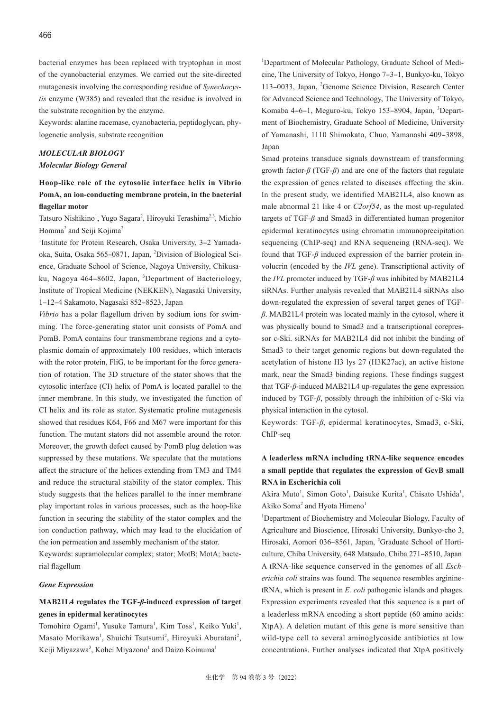bacterial enzymes has been replaced with tryptophan in most of the cyanobacterial enzymes. We carried out the site-directed mutagenesis involving the corresponding residue of *Synechocystis* enzyme (W385) and revealed that the residue is involved in the substrate recognition by the enzyme.

Keywords: alanine racemase, cyanobacteria, peptidoglycan, phylogenetic analysis, substrate recognition

# *MOLECULAR BIOLOGY*

#### *Molecular Biology General*

# **Hoop-like role of the cytosolic interface helix in Vibrio PomA, an ion-conducting membrane protein, in the bacterial flagellar motor**

Tatsuro Nishikino<sup>1</sup>, Yugo Sagara<sup>2</sup>, Hiroyuki Terashima<sup>2,3</sup>, Michio Homma<sup>2</sup> and Seiji Kojima<sup>2</sup>

<sup>1</sup>Institute for Protein Research, Osaka University, 3-2 Yamadaoka, Suita, Osaka 565-0871, Japan, <sup>2</sup>Division of Biological Science, Graduate School of Science, Nagoya University, Chikusaku, Nagoya 464-8602, Japan, <sup>3</sup>Department of Bacteriology, Institute of Tropical Medicine (NEKKEN), Nagasaki University, 1‒12‒4 Sakamoto, Nagasaki 852‒8523, Japan

*Vibrio* has a polar flagellum driven by sodium ions for swimming. The force-generating stator unit consists of PomA and PomB. PomA contains four transmembrane regions and a cytoplasmic domain of approximately 100 residues, which interacts with the rotor protein, FliG, to be important for the force generation of rotation. The 3D structure of the stator shows that the cytosolic interface (CI) helix of PomA is located parallel to the inner membrane. In this study, we investigated the function of CI helix and its role as stator. Systematic proline mutagenesis showed that residues K64, F66 and M67 were important for this function. The mutant stators did not assemble around the rotor. Moreover, the growth defect caused by PomB plug deletion was suppressed by these mutations. We speculate that the mutations affect the structure of the helices extending from TM3 and TM4 and reduce the structural stability of the stator complex. This study suggests that the helices parallel to the inner membrane play important roles in various processes, such as the hoop-like function in securing the stability of the stator complex and the ion conduction pathway, which may lead to the elucidation of the ion permeation and assembly mechanism of the stator.

Keywords: supramolecular complex; stator; MotB; MotA; bacterial flagellum

#### *Gene Expression*

### **MAB21L4 regulates the TGF-***β***-induced expression of target genes in epidermal keratinocytes**

Tomohiro Ogami<sup>1</sup>, Yusuke Tamura<sup>1</sup>, Kim Toss<sup>1</sup>, Keiko Yuki<sup>1</sup>, Masato Morikawa<sup>1</sup>, Shuichi Tsutsumi<sup>2</sup>, Hiroyuki Aburatani<sup>2</sup>, Keiji Miyazawa<sup>3</sup>, Kohei Miyazono<sup>1</sup> and Daizo Koinuma<sup>1</sup>

<sup>1</sup>Department of Molecular Pathology, Graduate School of Medicine, The University of Tokyo, Hongo 7‒3‒1, Bunkyo-ku, Tokyo 113-0033, Japan, <sup>2</sup>Genome Science Division, Research Center for Advanced Science and Technology, The University of Tokyo, Komaba 4-6-1, Meguro-ku, Tokyo 153-8904, Japan, <sup>3</sup>Department of Biochemistry, Graduate School of Medicine, University of Yamanashi, 1110 Shimokato, Chuo, Yamanashi 409-3898, Japan

Smad proteins transduce signals downstream of transforming growth factor-*β* (TGF-*β*) and are one of the factors that regulate the expression of genes related to diseases affecting the skin. In the present study, we identified MAB21L4, also known as male abnormal 21 like 4 or *C2orf54*, as the most up-regulated targets of TGF-*β* and Smad3 in differentiated human progenitor epidermal keratinocytes using chromatin immunoprecipitation sequencing (ChIP-seq) and RNA sequencing (RNA-seq). We found that TGF-*β* induced expression of the barrier protein involucrin (encoded by the *IVL* gene). Transcriptional activity of the *IVL* promoter induced by TGF-*β* was inhibited by MAB21L4 siRNAs. Further analysis revealed that MAB21L4 siRNAs also down-regulated the expression of several target genes of TGF*β*. MAB21L4 protein was located mainly in the cytosol, where it was physically bound to Smad3 and a transcriptional corepressor c-Ski. siRNAs for MAB21L4 did not inhibit the binding of Smad3 to their target genomic regions but down-regulated the acetylation of histone H3 lys 27 (H3K27ac), an active histone mark, near the Smad3 binding regions. These findings suggest that TGF-*β*-induced MAB21L4 up-regulates the gene expression induced by TGF-*β*, possibly through the inhibition of c-Ski via physical interaction in the cytosol.

Keywords: TGF-*β*, epidermal keratinocytes, Smad3, c-Ski, ChIP-seq

# **A leaderless mRNA including tRNA-like sequence encodes a small peptide that regulates the expression of GcvB small RNA in Escherichia coli**

Akira Muto<sup>1</sup>, Simon Goto<sup>1</sup>, Daisuke Kurita<sup>1</sup>, Chisato Ushida<sup>1</sup>, Akiko Soma<sup>2</sup> and Hyota Himeno<sup>1</sup>

<sup>1</sup>Department of Biochemistry and Molecular Biology, Faculty of Agriculture and Bioscience, Hirosaki University, Bunkyo-cho 3, Hirosaki, Aomori 036-8561, Japan, <sup>2</sup>Graduate School of Horticulture, Chiba University, 648 Matsudo, Chiba 271-8510, Japan A tRNA-like sequence conserved in the genomes of all *Escherichia coli* strains was found. The sequence resembles argininetRNA, which is present in *E. coli* pathogenic islands and phages. Expression experiments revealed that this sequence is a part of a leaderless mRNA encoding a short peptide (60 amino acids: XtpA). A deletion mutant of this gene is more sensitive than wild-type cell to several aminoglycoside antibiotics at low concentrations. Further analyses indicated that XtpA positively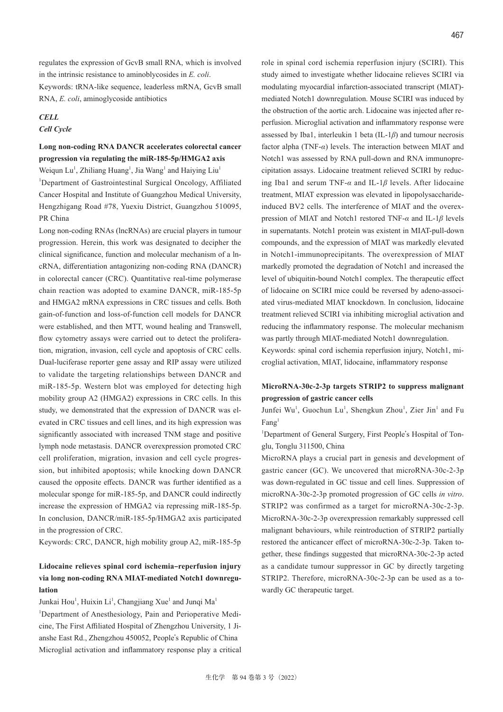regulates the expression of GcvB small RNA, which is involved in the intrinsic resistance to aminoblycosides in *E. coli*. Keywords: tRNA-like sequence, leaderless mRNA, GcvB small RNA, *E. coli*, aminoglycoside antibiotics

### *CELL Cell Cycle*

## **Long non-coding RNA DANCR accelerates colorectal cancer progression via regulating the miR-185-5p/HMGA2 axis**

Weiqun Lu<sup>1</sup>, Zhiliang Huang<sup>1</sup>, Jia Wang<sup>1</sup> and Haiying Liu<sup>1</sup> <sup>1</sup>Department of Gastrointestinal Surgical Oncology, Affiliated Cancer Hospital and Institute of Guangzhou Medical University, Hengzhigang Road #78, Yuexiu District, Guangzhou 510095, PR China

Long non-coding RNAs (lncRNAs) are crucial players in tumour progression. Herein, this work was designated to decipher the clinical significance, function and molecular mechanism of a lncRNA, differentiation antagonizing non-coding RNA (DANCR) in colorectal cancer (CRC). Quantitative real-time polymerase chain reaction was adopted to examine DANCR, miR-185-5p and HMGA2 mRNA expressions in CRC tissues and cells. Both gain-of-function and loss-of-function cell models for DANCR were established, and then MTT, wound healing and Transwell, flow cytometry assays were carried out to detect the proliferation, migration, invasion, cell cycle and apoptosis of CRC cells. Dual-luciferase reporter gene assay and RIP assay were utilized to validate the targeting relationships between DANCR and miR-185-5p. Western blot was employed for detecting high mobility group A2 (HMGA2) expressions in CRC cells. In this study, we demonstrated that the expression of DANCR was elevated in CRC tissues and cell lines, and its high expression was significantly associated with increased TNM stage and positive lymph node metastasis. DANCR overexpression promoted CRC cell proliferation, migration, invasion and cell cycle progression, but inhibited apoptosis; while knocking down DANCR caused the opposite effects. DANCR was further identified as a molecular sponge for miR-185-5p, and DANCR could indirectly increase the expression of HMGA2 via repressing miR-185-5p. In conclusion, DANCR/miR-185-5p/HMGA2 axis participated in the progression of CRC.

Keywords: CRC, DANCR, high mobility group A2, miR-185-5p

# **Lidocaine relieves spinal cord ischemia‒reperfusion injury via long non-coding RNA MIAT-mediated Notch1 downregulation**

Junkai Hou<sup>1</sup>, Huixin Li<sup>1</sup>, Changjiang Xue<sup>1</sup> and Junqi Ma<sup>1</sup> <sup>1</sup>Department of Anesthesiology, Pain and Perioperative Medicine, The First Affiliated Hospital of Zhengzhou University, 1 Jianshe East Rd., Zhengzhou 450052, People's Republic of China Microglial activation and inflammatory response play a critical role in spinal cord ischemia reperfusion injury (SCIRI). This study aimed to investigate whether lidocaine relieves SCIRI via modulating myocardial infarction-associated transcript (MIAT) mediated Notch1 downregulation. Mouse SCIRI was induced by the obstruction of the aortic arch. Lidocaine was injected after reperfusion. Microglial activation and inflammatory response were assessed by Iba1, interleukin 1 beta (IL-1*β*) and tumour necrosis factor alpha (TNF-*α*) levels. The interaction between MIAT and Notch1 was assessed by RNA pull-down and RNA immunoprecipitation assays. Lidocaine treatment relieved SCIRI by reducing Iba1 and serum TNF-*α* and IL-1*β* levels. After lidocaine treatment, MIAT expression was elevated in lipopolysaccharideinduced BV2 cells. The interference of MIAT and the overexpression of MIAT and Notch1 restored TNF-*α* and IL-1*β* levels in supernatants. Notch1 protein was existent in MIAT-pull-down compounds, and the expression of MIAT was markedly elevated in Notch1-immunoprecipitants. The overexpression of MIAT markedly promoted the degradation of Notch1 and increased the level of ubiquitin-bound Notch1 complex. The therapeutic effect of lidocaine on SCIRI mice could be reversed by adeno-associated virus-mediated MIAT knockdown. In conclusion, lidocaine treatment relieved SCIRI via inhibiting microglial activation and reducing the inflammatory response. The molecular mechanism was partly through MIAT-mediated Notch1 downregulation. Keywords: spinal cord ischemia reperfusion injury, Notch1, mi-

croglial activation, MIAT, lidocaine, inflammatory response

## **MicroRNA-30c-2-3p targets STRIP2 to suppress malignant progression of gastric cancer cells**

Junfei Wu<sup>1</sup>, Guochun Lu<sup>1</sup>, Shengkun Zhou<sup>1</sup>, Zier Jin<sup>1</sup> and Fu Fang<sup>1</sup>

<sup>1</sup>Department of General Surgery, First People's Hospital of Tonglu, Tonglu 311500, China

MicroRNA plays a crucial part in genesis and development of gastric cancer (GC). We uncovered that microRNA-30c-2-3p was down-regulated in GC tissue and cell lines. Suppression of microRNA-30c-2-3p promoted progression of GC cells *in vitro*. STRIP2 was confirmed as a target for microRNA-30c-2-3p. MicroRNA-30c-2-3p overexpression remarkably suppressed cell malignant behaviours, while reintroduction of STRIP2 partially restored the anticancer effect of microRNA-30c-2-3p. Taken together, these findings suggested that microRNA-30c-2-3p acted as a candidate tumour suppressor in GC by directly targeting STRIP2. Therefore, microRNA-30c-2-3p can be used as a towardly GC therapeutic target.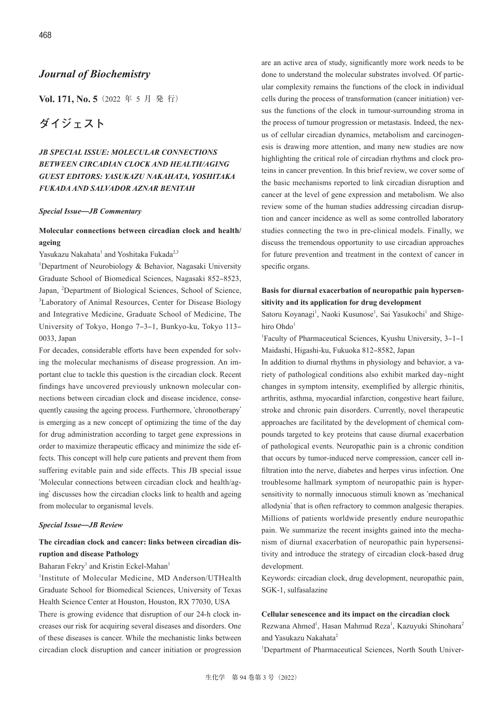# *Journal of Biochemistry*

**Vol. 171, No. 5**(2022 年 5 月 発 行)

# **ダイジェスト**

# *JB SPECIAL ISSUE: MOLECULAR CONNECTIONS BETWEEN CIRCADIAN CLOCK AND HEALTH/AGING GUEST EDITORS: YASUKAZU NAKAHATA, YOSHITAKA FUKADA AND SALVADOR AZNAR BENITAH*

#### *Special Issue***̶***JB Commentary*

### **Molecular connections between circadian clock and health/ ageing**

Yasukazu Nakahata<sup>1</sup> and Yoshitaka Fukada<sup>2,3</sup>

<sup>1</sup>Department of Neurobiology & Behavior, Nagasaki University Graduate School of Biomedical Sciences, Nagasaki 852‒8523, Japan, <sup>2</sup> Department of Biological Sciences, School of Science, <sup>3</sup>Laboratory of Animal Resources, Center for Disease Biology and Integrative Medicine, Graduate School of Medicine, The University of Tokyo, Hongo 7-3-1, Bunkyo-ku, Tokyo 113-0033, Japan

For decades, considerable efforts have been expended for solving the molecular mechanisms of disease progression. An important clue to tackle this question is the circadian clock. Recent findings have uncovered previously unknown molecular connections between circadian clock and disease incidence, consequently causing the ageing process. Furthermore, ʻchronotherapy' is emerging as a new concept of optimizing the time of the day for drug administration according to target gene expressions in order to maximize therapeutic efficacy and minimize the side effects. This concept will help cure patients and prevent them from suffering evitable pain and side effects. This JB special issue ʻMolecular connections between circadian clock and health/aging' discusses how the circadian clocks link to health and ageing from molecular to organismal levels.

#### *Special Issue***̶***JB Review*

# **The circadian clock and cancer: links between circadian disruption and disease Pathology**

#### Baharan Fekry<sup>1</sup> and Kristin Eckel-Mahan<sup>1</sup>

<sup>1</sup>Institute of Molecular Medicine, MD Anderson/UTHealth Graduate School for Biomedical Sciences, University of Texas Health Science Center at Houston, Houston, RX 77030, USA There is growing evidence that disruption of our 24-h clock increases our risk for acquiring several diseases and disorders. One

of these diseases is cancer. While the mechanistic links between circadian clock disruption and cancer initiation or progression are an active area of study, significantly more work needs to be done to understand the molecular substrates involved. Of particular complexity remains the functions of the clock in individual cells during the process of transformation (cancer initiation) versus the functions of the clock in tumour-surrounding stroma in the process of tumour progression or metastasis. Indeed, the nexus of cellular circadian dynamics, metabolism and carcinogenesis is drawing more attention, and many new studies are now highlighting the critical role of circadian rhythms and clock proteins in cancer prevention. In this brief review, we cover some of the basic mechanisms reported to link circadian disruption and cancer at the level of gene expression and metabolism. We also review some of the human studies addressing circadian disruption and cancer incidence as well as some controlled laboratory studies connecting the two in pre-clinical models. Finally, we discuss the tremendous opportunity to use circadian approaches for future prevention and treatment in the context of cancer in

### **Basis for diurnal exacerbation of neuropathic pain hypersensitivity and its application for drug development**

specific organs.

Satoru Koyanagi<sup>1</sup>, Naoki Kusunose<sup>1</sup>, Sai Yasukochi<sup>1</sup> and Shigehiro  $Ohdo<sup>1</sup>$ 

<sup>1</sup>Faculty of Pharmaceutical Sciences, Kyushu University, 3-1-1 Maidashi, Higashi-ku, Fukuoka 812‒8582, Japan

In addition to diurnal rhythms in physiology and behavior, a variety of pathological conditions also exhibit marked day-night changes in symptom intensity, exemplified by allergic rhinitis, arthritis, asthma, myocardial infarction, congestive heart failure, stroke and chronic pain disorders. Currently, novel therapeutic approaches are facilitated by the development of chemical compounds targeted to key proteins that cause diurnal exacerbation of pathological events. Neuropathic pain is a chronic condition that occurs by tumor-induced nerve compression, cancer cell infiltration into the nerve, diabetes and herpes virus infection. One troublesome hallmark symptom of neuropathic pain is hypersensitivity to normally innocuous stimuli known as ʻmechanical allodynia' that is often refractory to common analgesic therapies. Millions of patients worldwide presently endure neuropathic pain. We summarize the recent insights gained into the mechanism of diurnal exacerbation of neuropathic pain hypersensitivity and introduce the strategy of circadian clock-based drug development.

Keywords: circadian clock, drug development, neuropathic pain, SGK-1, sulfasalazine

#### **Cellular senescence and its impact on the circadian clock**

Rezwana Ahmed<sup>1</sup>, Hasan Mahmud Reza<sup>1</sup>, Kazuyuki Shinohara<sup>2</sup> and Yasukazu Nakahata<sup>2</sup>

<sup>1</sup>Department of Pharmaceutical Sciences, North South Univer-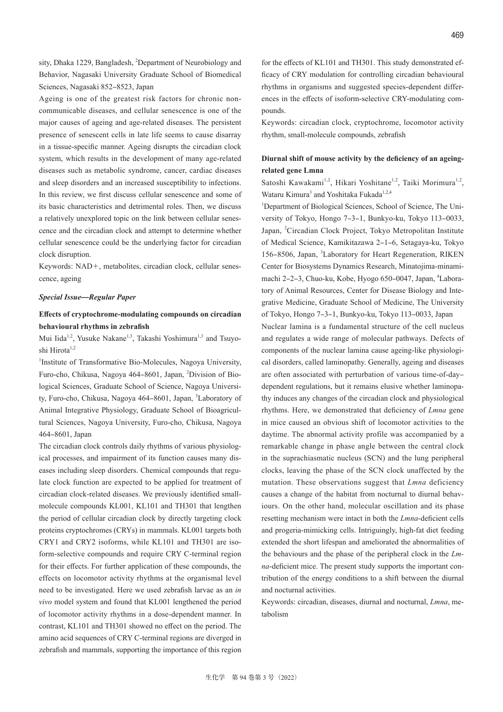sity, Dhaka 1229, Bangladesh, <sup>2</sup>Department of Neurobiology and Behavior, Nagasaki University Graduate School of Biomedical Sciences, Nagasaki 852‒8523, Japan

Ageing is one of the greatest risk factors for chronic noncommunicable diseases, and cellular senescence is one of the major causes of ageing and age-related diseases. The persistent presence of senescent cells in late life seems to cause disarray in a tissue-specific manner. Ageing disrupts the circadian clock system, which results in the development of many age-related diseases such as metabolic syndrome, cancer, cardiac diseases and sleep disorders and an increased susceptibility to infections. In this review, we first discuss cellular senescence and some of its basic characteristics and detrimental roles. Then, we discuss a relatively unexplored topic on the link between cellular senescence and the circadian clock and attempt to determine whether cellular senescence could be the underlying factor for circadian clock disruption.

Keywords: NAD+, metabolites, circadian clock, cellular senescence, ageing

#### *Special Issue***̶***Regular Paper*

### **Effects of cryptochrome-modulating compounds on circadian behavioural rhythms in zebrafish**

Mui Iida<sup>1,2</sup>, Yusuke Nakane<sup>1,3</sup>, Takashi Yoshimura<sup>1,3</sup> and Tsuyoshi Hirota<sup>1,2</sup>

<sup>1</sup>Institute of Transformative Bio-Molecules, Nagoya University, Furo-cho, Chikusa, Nagoya 464-8601, Japan, <sup>2</sup>Division of Biological Sciences, Graduate School of Science, Nagoya University, Furo-cho, Chikusa, Nagoya 464-8601, Japan, <sup>3</sup>Laboratory of Animal Integrative Physiology, Graduate School of Bioagricultural Sciences, Nagoya University, Furo-cho, Chikusa, Nagoya 464‒8601, Japan

The circadian clock controls daily rhythms of various physiological processes, and impairment of its function causes many diseases including sleep disorders. Chemical compounds that regulate clock function are expected to be applied for treatment of circadian clock-related diseases. We previously identified smallmolecule compounds KL001, KL101 and TH301 that lengthen the period of cellular circadian clock by directly targeting clock proteins cryptochromes (CRYs) in mammals. KL001 targets both CRY1 and CRY2 isoforms, while KL101 and TH301 are isoform-selective compounds and require CRY C-terminal region for their effects. For further application of these compounds, the effects on locomotor activity rhythms at the organismal level need to be investigated. Here we used zebrafish larvae as an *in vivo* model system and found that KL001 lengthened the period of locomotor activity rhythms in a dose-dependent manner. In contrast, KL101 and TH301 showed no effect on the period. The amino acid sequences of CRY C-terminal regions are diverged in zebrafish and mammals, supporting the importance of this region for the effects of KL101 and TH301. This study demonstrated efficacy of CRY modulation for controlling circadian behavioural rhythms in organisms and suggested species-dependent differences in the effects of isoform-selective CRY-modulating compounds.

Keywords: circadian clock, cryptochrome, locomotor activity rhythm, small-molecule compounds, zebrafish

### **Diurnal shift of mouse activity by the deficiency of an ageingrelated gene Lmna**

Satoshi Kawakami<sup>1,2</sup>, Hikari Yoshitane<sup>1,2</sup>, Taiki Morimura<sup>1,2</sup>, Wataru Kimura<sup>3</sup> and Yoshitaka Fukada<sup>1,2,4</sup>

<sup>1</sup>Department of Biological Sciences, School of Science, The University of Tokyo, Hongo 7–3–1, Bunkyo-ku, Tokyo 113–0033, Japan, <sup>2</sup>Circadian Clock Project, Tokyo Metropolitan Institute of Medical Science, Kamikitazawa 2‒1‒6, Setagaya-ku, Tokyo 156-8506, Japan, <sup>3</sup>Laboratory for Heart Regeneration, RIKEN Center for Biosystems Dynamics Research, Minatojima-minamimachi 2-2-3, Chuo-ku, Kobe, Hyogo 650-0047, Japan, <sup>4</sup>Laboratory of Animal Resources, Center for Disease Biology and Integrative Medicine, Graduate School of Medicine, The University of Tokyo, Hongo 7-3-1, Bunkyo-ku, Tokyo 113-0033, Japan Nuclear lamina is a fundamental structure of the cell nucleus and regulates a wide range of molecular pathways. Defects of components of the nuclear lamina cause ageing-like physiological disorders, called laminopathy. Generally, ageing and diseases are often associated with perturbation of various time-of-daydependent regulations, but it remains elusive whether laminopathy induces any changes of the circadian clock and physiological rhythms. Here, we demonstrated that deficiency of *Lmna* gene in mice caused an obvious shift of locomotor activities to the daytime. The abnormal activity profile was accompanied by a remarkable change in phase angle between the central clock in the suprachiasmatic nucleus (SCN) and the lung peripheral clocks, leaving the phase of the SCN clock unaffected by the mutation. These observations suggest that *Lmna* deficiency causes a change of the habitat from nocturnal to diurnal behaviours. On the other hand, molecular oscillation and its phase resetting mechanism were intact in both the *Lmna*-deficient cells and progeria-mimicking cells. Intriguingly, high-fat diet feeding extended the short lifespan and ameliorated the abnormalities of the behaviours and the phase of the peripheral clock in the *Lmna*-deficient mice. The present study supports the important contribution of the energy conditions to a shift between the diurnal and nocturnal activities.

Keywords: circadian, diseases, diurnal and nocturnal, *Lmna*, metabolism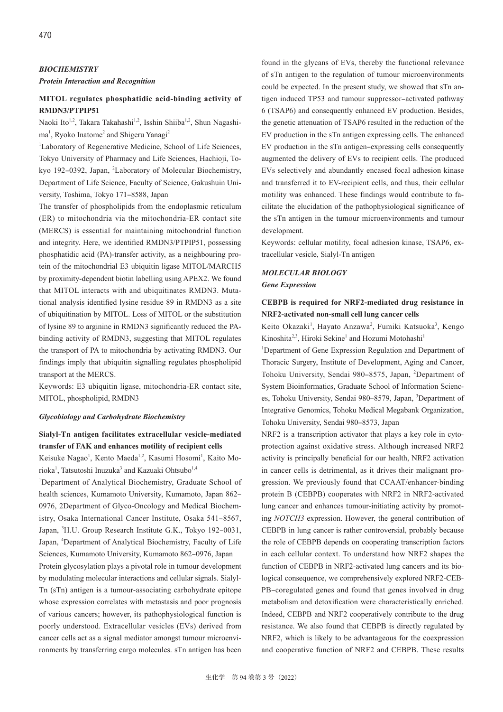### *BIOCHEMISTRY*

#### *Protein Interaction and Recognition*

### **MITOL regulates phosphatidic acid-binding activity of RMDN3/PTPIP51**

Naoki Ito<sup>1,2</sup>, Takara Takahashi<sup>1,2</sup>, Isshin Shiiba<sup>1,2</sup>, Shun Nagashima<sup>1</sup>, Ryoko Inatome<sup>2</sup> and Shigeru Yanagi<sup>2</sup>

<sup>1</sup>Laboratory of Regenerative Medicine, School of Life Sciences, Tokyo University of Pharmacy and Life Sciences, Hachioji, Tokyo 192-0392, Japan, <sup>2</sup>Laboratory of Molecular Biochemistry, Department of Life Science, Faculty of Science, Gakushuin University, Toshima, Tokyo 171-8588, Japan

The transfer of phospholipids from the endoplasmic reticulum (ER) to mitochondria via the mitochondria-ER contact site (MERCS) is essential for maintaining mitochondrial function and integrity. Here, we identified RMDN3/PTPIP51, possessing phosphatidic acid (PA)-transfer activity, as a neighbouring protein of the mitochondrial E3 ubiquitin ligase MITOL/MARCH5 by proximity-dependent biotin labelling using APEX2. We found that MITOL interacts with and ubiquitinates RMDN3. Mutational analysis identified lysine residue 89 in RMDN3 as a site of ubiquitination by MITOL. Loss of MITOL or the substitution of lysine 89 to arginine in RMDN3 significantly reduced the PAbinding activity of RMDN3, suggesting that MITOL regulates the transport of PA to mitochondria by activating RMDN3. Our findings imply that ubiquitin signalling regulates phospholipid transport at the MERCS.

Keywords: E3 ubiquitin ligase, mitochondria-ER contact site, MITOL, phospholipid, RMDN3

#### *Glycobiology and Carbohydrate Biochemistry*

# **Sialyl-Tn antigen facilitates extracellular vesicle-mediated transfer of FAK and enhances motility of recipient cells**

Keisuke Nagao<sup>1</sup>, Kento Maeda<sup>1,2</sup>, Kasumi Hosomi<sup>1</sup>, Kaito Morioka<sup>1</sup>, Tatsutoshi Inuzuka<sup>3</sup> and Kazuaki Ohtsubo<sup>1,4</sup>

<sup>1</sup>Department of Analytical Biochemistry, Graduate School of health sciences, Kumamoto University, Kumamoto, Japan 862-0976, 2Department of Glyco-Oncology and Medical Biochemistry, Osaka International Cancer Institute, Osaka 541-8567, Japan, <sup>3</sup>H.U. Group Research Institute G.K., Tokyo 192-0031, Japan, <sup>4</sup> Department of Analytical Biochemistry, Faculty of Life Sciences, Kumamoto University, Kumamoto 862-0976, Japan Protein glycosylation plays a pivotal role in tumour development by modulating molecular interactions and cellular signals. Sialyl-Tn (sTn) antigen is a tumour-associating carbohydrate epitope whose expression correlates with metastasis and poor prognosis of various cancers; however, its pathophysiological function is poorly understood. Extracellular vesicles (EVs) derived from cancer cells act as a signal mediator amongst tumour microenvironments by transferring cargo molecules. sTn antigen has been

found in the glycans of EVs, thereby the functional relevance of sTn antigen to the regulation of tumour microenvironments could be expected. In the present study, we showed that sTn antigen induced TP53 and tumour suppressor-activated pathway 6 (TSAP6) and consequently enhanced EV production. Besides, the genetic attenuation of TSAP6 resulted in the reduction of the EV production in the sTn antigen expressing cells. The enhanced EV production in the sTn antigen–expressing cells consequently augmented the delivery of EVs to recipient cells. The produced EVs selectively and abundantly encased focal adhesion kinase and transferred it to EV-recipient cells, and thus, their cellular motility was enhanced. These findings would contribute to facilitate the elucidation of the pathophysiological significance of the sTn antigen in the tumour microenvironments and tumour development.

Keywords: cellular motility, focal adhesion kinase, TSAP6, extracellular vesicle, Sialyl-Tn antigen

### *MOLECULAR BIOLOGY*

#### *Gene Expression*

### **CEBPB is required for NRF2-mediated drug resistance in NRF2-activated non-small cell lung cancer cells**

Keito Okazaki<sup>1</sup>, Hayato Anzawa<sup>2</sup>, Fumiki Katsuoka<sup>3</sup>, Kengo Kinoshita<sup>2,3</sup>, Hiroki Sekine<sup>1</sup> and Hozumi Motohashi<sup>1</sup>

<sup>1</sup>Department of Gene Expression Regulation and Department of Thoracic Surgery, Institute of Development, Aging and Cancer, Tohoku University, Sendai 980-8575, Japan, <sup>2</sup>Department of System Bioinformatics, Graduate School of Information Sciences, Tohoku University, Sendai 980-8579, Japan, <sup>3</sup>Department of Integrative Genomics, Tohoku Medical Megabank Organization, Tohoku University, Sendai 980-8573, Japan

NRF2 is a transcription activator that plays a key role in cytoprotection against oxidative stress. Although increased NRF2 activity is principally beneficial for our health, NRF2 activation in cancer cells is detrimental, as it drives their malignant progression. We previously found that CCAAT/enhancer-binding protein B (CEBPB) cooperates with NRF2 in NRF2-activated lung cancer and enhances tumour-initiating activity by promoting *NOTCH3* expression. However, the general contribution of CEBPB in lung cancer is rather controversial, probably because the role of CEBPB depends on cooperating transcription factors in each cellular context. To understand how NRF2 shapes the function of CEBPB in NRF2-activated lung cancers and its biological consequence, we comprehensively explored NRF2-CEB-PB-coregulated genes and found that genes involved in drug metabolism and detoxification were characteristically enriched. Indeed, CEBPB and NRF2 cooperatively contribute to the drug resistance. We also found that CEBPB is directly regulated by NRF2, which is likely to be advantageous for the coexpression and cooperative function of NRF2 and CEBPB. These results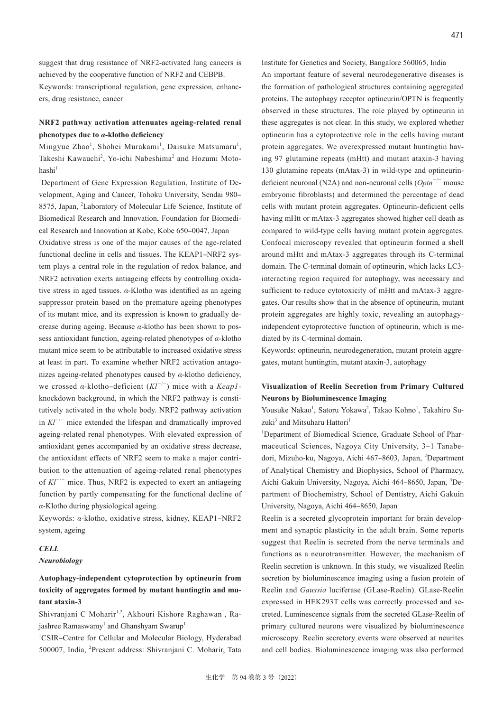suggest that drug resistance of NRF2-activated lung cancers is achieved by the cooperative function of NRF2 and CEBPB. Keywords: transcriptional regulation, gene expression, enhancers, drug resistance, cancer

### **NRF2 pathway activation attenuates ageing-related renal phenotypes due to** *α***-klotho deficiency**

Mingyue Zhao<sup>1</sup>, Shohei Murakami<sup>1</sup>, Daisuke Matsumaru<sup>1</sup>, Takeshi Kawauchi<sup>2</sup>, Yo-ichi Nabeshima<sup>2</sup> and Hozumi Moto $hashi<sup>1</sup>$ 

<sup>1</sup>Department of Gene Expression Regulation, Institute of Development, Aging and Cancer, Tohoku University, Sendai 980– 8575, Japan, <sup>2</sup>Laboratory of Molecular Life Science, Institute of Biomedical Research and Innovation, Foundation for Biomedical Research and Innovation at Kobe, Kobe 650-0047, Japan Oxidative stress is one of the major causes of the age-related functional decline in cells and tissues. The KEAP1-NRF2 system plays a central role in the regulation of redox balance, and NRF2 activation exerts antiageing effects by controlling oxidative stress in aged tissues. *α*-Klotho was identified as an ageing suppressor protein based on the premature ageing phenotypes of its mutant mice, and its expression is known to gradually decrease during ageing. Because *α*-klotho has been shown to possess antioxidant function, ageing-related phenotypes of *α*-klotho mutant mice seem to be attributable to increased oxidative stress at least in part. To examine whether NRF2 activation antagonizes ageing-related phenotypes caused by *α*-klotho deficiency, we crossed *α*-klotho‒deficient (*Kl*<sup>−</sup>/<sup>−</sup>) mice with a *Keap1* knockdown background, in which the NRF2 pathway is constitutively activated in the whole body. NRF2 pathway activation in *Kl*<sup>−</sup>/<sup>−</sup> mice extended the lifespan and dramatically improved ageing-related renal phenotypes. With elevated expression of antioxidant genes accompanied by an oxidative stress decrease, the antioxidant effects of NRF2 seem to make a major contribution to the attenuation of ageing-related renal phenotypes of *Kl*<sup>−</sup>/<sup>−</sup> mice. Thus, NRF2 is expected to exert an antiageing function by partly compensating for the functional decline of *α*-Klotho during physiological ageing.

Keywords: *α*-klotho, oxidative stress, kidney, KEAP1-NRF2 system, ageing

### *CELL*

### *Neurobiology*

# **Autophagy-independent cytoprotection by optineurin from toxicity of aggregates formed by mutant huntingtin and mutant ataxin-3**

Shivranjani C Moharir<sup>1,2</sup>, Akhouri Kishore Raghawan<sup>1</sup>, Rajashree Ramaswamy $^{\rm l}$  and Ghanshyam Swarup $^{\rm l}$ 

<sup>1</sup>CSIR-Centre for Cellular and Molecular Biology, Hyderabad 500007, India, <sup>2</sup>Present address: Shivranjani C. Moharir, Tata Institute for Genetics and Society, Bangalore 560065, India An important feature of several neurodegenerative diseases is the formation of pathological structures containing aggregated proteins. The autophagy receptor optineurin/OPTN is frequently observed in these structures. The role played by optineurin in these aggregates is not clear. In this study, we explored whether optineurin has a cytoprotective role in the cells having mutant protein aggregates. We overexpressed mutant huntingtin having 97 glutamine repeats (mHtt) and mutant ataxin-3 having 130 glutamine repeats (mAtax-3) in wild-type and optineurindeficient neuronal (N2A) and non-neuronal cells (*Optn*<sup>−</sup>/<sup>−</sup> mouse embryonic fibroblasts) and determined the percentage of dead cells with mutant protein aggregates. Optineurin-deficient cells having mHtt or mAtax-3 aggregates showed higher cell death as compared to wild-type cells having mutant protein aggregates. Confocal microscopy revealed that optineurin formed a shell around mHtt and mAtax-3 aggregates through its C-terminal domain. The C-terminal domain of optineurin, which lacks LC3 interacting region required for autophagy, was necessary and sufficient to reduce cytotoxicity of mHtt and mAtax-3 aggregates. Our results show that in the absence of optineurin, mutant protein aggregates are highly toxic, revealing an autophagyindependent cytoprotective function of optineurin, which is mediated by its C-terminal domain.

Keywords: optineurin, neurodegeneration, mutant protein aggregates, mutant huntingtin, mutant ataxin-3, autophagy

### **Visualization of Reelin Secretion from Primary Cultured Neurons by Bioluminescence Imaging**

Yousuke Nakao<sup>1</sup>, Satoru Yokawa<sup>2</sup>, Takao Kohno<sup>1</sup>, Takahiro Suzuki<sup>3</sup> and Mitsuharu Hattori<sup>1</sup>

<sup>1</sup>Department of Biomedical Science, Graduate School of Pharmaceutical Sciences, Nagoya City University, 3-1 Tanabedori, Mizuho-ku, Nagoya, Aichi 467-8603, Japan, <sup>2</sup>Department of Analytical Chemistry and Biophysics, School of Pharmacy, Aichi Gakuin University, Nagoya, Aichi 464-8650, Japan, <sup>3</sup>Department of Biochemistry, School of Dentistry, Aichi Gakuin University, Nagoya, Aichi 464‒8650, Japan

Reelin is a secreted glycoprotein important for brain development and synaptic plasticity in the adult brain. Some reports suggest that Reelin is secreted from the nerve terminals and functions as a neurotransmitter. However, the mechanism of Reelin secretion is unknown. In this study, we visualized Reelin secretion by bioluminescence imaging using a fusion protein of Reelin and *Gaussia* luciferase (GLase-Reelin). GLase-Reelin expressed in HEK293T cells was correctly processed and secreted. Luminescence signals from the secreted GLase-Reelin of primary cultured neurons were visualized by bioluminescence microscopy. Reelin secretory events were observed at neurites and cell bodies. Bioluminescence imaging was also performed